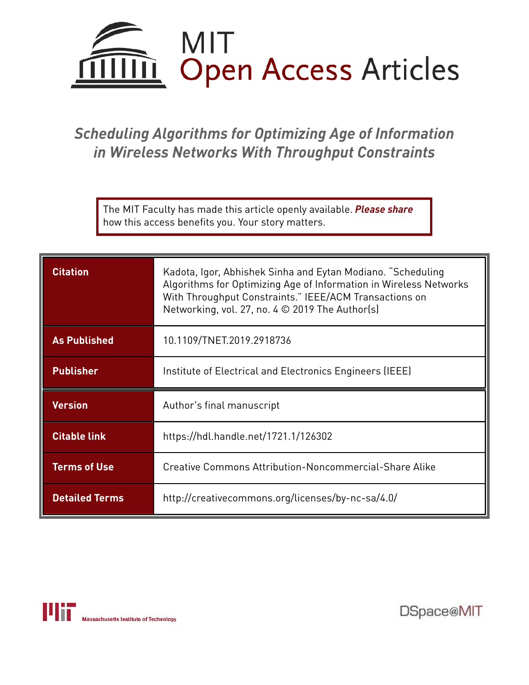

# *Scheduling Algorithms for Optimizing Age of Information in Wireless Networks With Throughput Constraints*

The MIT Faculty has made this article openly available. *Please share*  how this access benefits you. Your story matters.

| <b>Citation</b>     | Kadota, Igor, Abhishek Sinha and Eytan Modiano. "Scheduling<br>Algorithms for Optimizing Age of Information in Wireless Networks<br>With Throughput Constraints." IEEE/ACM Transactions on<br>Networking, vol. 27, no. 4 © 2019 The Author(s) |
|---------------------|-----------------------------------------------------------------------------------------------------------------------------------------------------------------------------------------------------------------------------------------------|
| <b>As Published</b> | 10.1109/TNET.2019.2918736                                                                                                                                                                                                                     |
| <b>Publisher</b>    | Institute of Electrical and Electronics Engineers (IEEE)                                                                                                                                                                                      |
|                     |                                                                                                                                                                                                                                               |
| <b>Version</b>      | Author's final manuscript                                                                                                                                                                                                                     |
| <b>Citable link</b> | https://hdl.handle.net/1721.1/126302                                                                                                                                                                                                          |
| <b>Terms of Use</b> | Creative Commons Attribution-Noncommercial-Share Alike                                                                                                                                                                                        |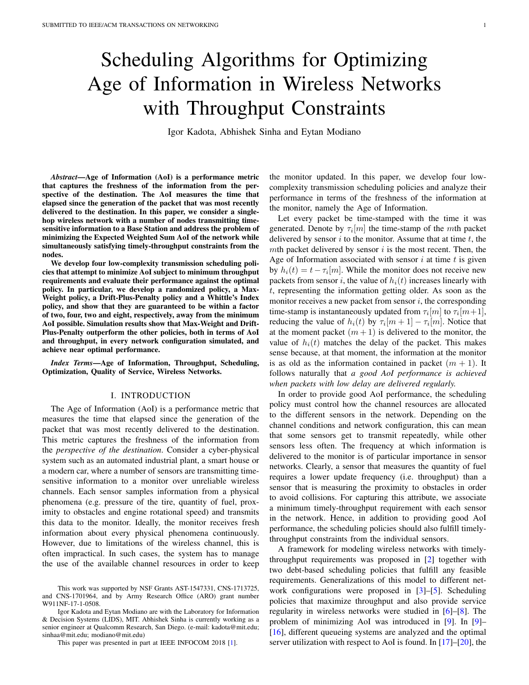# Scheduling Algorithms for Optimizing Age of Information in Wireless Networks with Throughput Constraints

Igor Kadota, Abhishek Sinha and Eytan Modiano

*Abstract*—Age of Information (AoI) is a performance metric that captures the freshness of the information from the perspective of the destination. The AoI measures the time that elapsed since the generation of the packet that was most recently delivered to the destination. In this paper, we consider a singlehop wireless network with a number of nodes transmitting timesensitive information to a Base Station and address the problem of minimizing the Expected Weighted Sum AoI of the network while simultaneously satisfying timely-throughput constraints from the nodes.

We develop four low-complexity transmission scheduling policies that attempt to minimize AoI subject to minimum throughput requirements and evaluate their performance against the optimal policy. In particular, we develop a randomized policy, a Max-Weight policy, a Drift-Plus-Penalty policy and a Whittle's Index policy, and show that they are guaranteed to be within a factor of two, four, two and eight, respectively, away from the minimum AoI possible. Simulation results show that Max-Weight and Drift-Plus-Penalty outperform the other policies, both in terms of AoI and throughput, in every network configuration simulated, and achieve near optimal performance.

*Index Terms*—Age of Information, Throughput, Scheduling, Optimization, Quality of Service, Wireless Networks.

# I. INTRODUCTION

The Age of Information (AoI) is a performance metric that measures the time that elapsed since the generation of the packet that was most recently delivered to the destination. This metric captures the freshness of the information from the *perspective of the destination*. Consider a cyber-physical system such as an automated industrial plant, a smart house or a modern car, where a number of sensors are transmitting timesensitive information to a monitor over unreliable wireless channels. Each sensor samples information from a physical phenomena (e.g. pressure of the tire, quantity of fuel, proximity to obstacles and engine rotational speed) and transmits this data to the monitor. Ideally, the monitor receives fresh information about every physical phenomena continuously. However, due to limitations of the wireless channel, this is often impractical. In such cases, the system has to manage the use of the available channel resources in order to keep

This paper was presented in part at IEEE INFOCOM 2018 [1].

the monitor updated. In this paper, we develop four lowcomplexity transmission scheduling policies and analyze their performance in terms of the freshness of the information at the monitor, namely the Age of Information.

Let every packet be time-stamped with the time it was generated. Denote by  $\tau_i[m]$  the time-stamp of the *mth* packet delivered by sensor  $i$  to the monitor. Assume that at time  $t$ , the mth packet delivered by sensor  $i$  is the most recent. Then, the Age of Information associated with sensor  $i$  at time  $t$  is given by  $h_i(t) = t - \tau_i[m]$ . While the monitor does not receive new packets from sensor i, the value of  $h_i(t)$  increases linearly with t, representing the information getting older. As soon as the monitor receives a new packet from sensor  $i$ , the corresponding time-stamp is instantaneously updated from  $\tau_i[m]$  to  $\tau_i[m+1]$ , reducing the value of  $h_i(t)$  by  $\tau_i[m+1] - \tau_i[m]$ . Notice that at the moment packet  $(m + 1)$  is delivered to the monitor, the value of  $h_i(t)$  matches the delay of the packet. This makes sense because, at that moment, the information at the monitor is as old as the information contained in packet  $(m + 1)$ . It follows naturally that *a good AoI performance is achieved when packets with low delay are delivered regularly.*

In order to provide good AoI performance, the scheduling policy must control how the channel resources are allocated to the different sensors in the network. Depending on the channel conditions and network configuration, this can mean that some sensors get to transmit repeatedly, while other sensors less often. The frequency at which information is delivered to the monitor is of particular importance in sensor networks. Clearly, a sensor that measures the quantity of fuel requires a lower update frequency (i.e. throughput) than a sensor that is measuring the proximity to obstacles in order to avoid collisions. For capturing this attribute, we associate a minimum timely-throughput requirement with each sensor in the network. Hence, in addition to providing good AoI performance, the scheduling policies should also fulfill timelythroughput constraints from the individual sensors.

A framework for modeling wireless networks with timelythroughput requirements was proposed in [2] together with two debt-based scheduling policies that fulfill any feasible requirements. Generalizations of this model to different network configurations were proposed in [3]–[5]. Scheduling policies that maximize throughput and also provide service regularity in wireless networks were studied in [6]–[8]. The problem of minimizing AoI was introduced in [9]. In [9]– [16], different queueing systems are analyzed and the optimal server utilization with respect to AoI is found. In [17]–[20], the

This work was supported by NSF Grants AST-1547331, CNS-1713725, and CNS-1701964, and by Army Research Office (ARO) grant number W911NF-17-1-0508.

Igor Kadota and Eytan Modiano are with the Laboratory for Information & Decision Systems (LIDS), MIT. Abhishek Sinha is currently working as a senior engineer at Qualcomm Research, San Diego. (e-mail: kadota@mit.edu; sinhaa@mit.edu; modiano@mit.edu)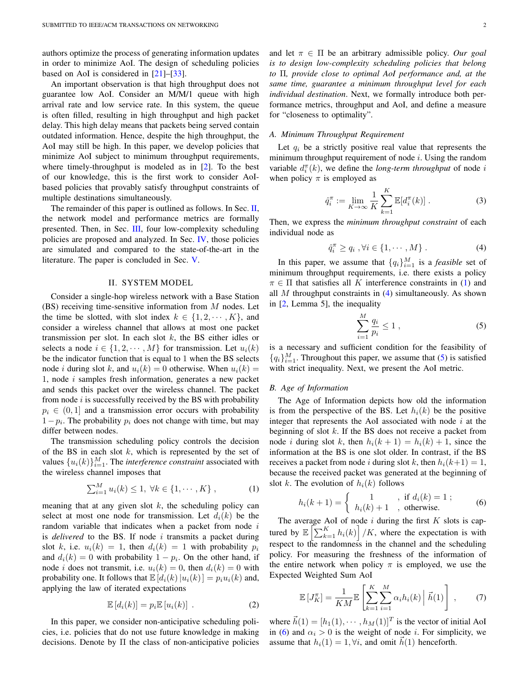authors optimize the process of generating information updates in order to minimize AoI. The design of scheduling policies based on AoI is considered in [21]–[33].

An important observation is that high throughput does not guarantee low AoI. Consider an M/M/1 queue with high arrival rate and low service rate. In this system, the queue is often filled, resulting in high throughput and high packet delay. This high delay means that packets being served contain outdated information. Hence, despite the high throughput, the AoI may still be high. In this paper, we develop policies that minimize AoI subject to minimum throughput requirements, where timely-throughput is modeled as in [2]. To the best of our knowledge, this is the first work to consider AoIbased policies that provably satisfy throughput constraints of multiple destinations simultaneously.

The remainder of this paper is outlined as follows. In Sec. II, the network model and performance metrics are formally presented. Then, in Sec. III, four low-complexity scheduling policies are proposed and analyzed. In Sec. IV, those policies are simulated and compared to the state-of-the-art in the literature. The paper is concluded in Sec. V.

#### II. SYSTEM MODEL

Consider a single-hop wireless network with a Base Station (BS) receiving time-sensitive information from  $M$  nodes. Let the time be slotted, with slot index  $k \in \{1, 2, \dots, K\}$ , and consider a wireless channel that allows at most one packet transmission per slot. In each slot  $k$ , the BS either idles or selects a node  $i \in \{1, 2, \dots, M\}$  for transmission. Let  $u_i(k)$ be the indicator function that is equal to 1 when the BS selects node *i* during slot k, and  $u_i(k) = 0$  otherwise. When  $u_i(k) =$ 1, node  $i$  samples fresh information, generates a new packet and sends this packet over the wireless channel. The packet from node  $i$  is successfully received by the BS with probability  $p_i \in (0, 1]$  and a transmission error occurs with probability  $1-p_i$ . The probability  $p_i$  does not change with time, but may differ between nodes.

The transmission scheduling policy controls the decision of the BS in each slot  $k$ , which is represented by the set of values  $\{u_i(k)\}_{i=1}^M$ . The *interference constraint* associated with the wireless channel imposes that

$$
\sum_{i=1}^{M} u_i(k) \le 1, \ \forall k \in \{1, \cdots, K\}, \tag{1}
$$

meaning that at any given slot  $k$ , the scheduling policy can select at most one node for transmission. Let  $d_i(k)$  be the random variable that indicates when a packet from node  $i$ is *delivered* to the BS. If node  $i$  transmits a packet during slot k, i.e.  $u_i(k) = 1$ , then  $d_i(k) = 1$  with probability  $p_i$ and  $d_i(k) = 0$  with probability  $1 - p_i$ . On the other hand, if node *i* does not transmit, i.e.  $u_i(k) = 0$ , then  $d_i(k) = 0$  with probability one. It follows that  $\mathbb{E}[d_i(k)|u_i(k)] = p_iu_i(k)$  and, applying the law of iterated expectations

$$
\mathbb{E}\left[d_i(k)\right] = p_i \mathbb{E}\left[u_i(k)\right] \ . \tag{2}
$$

In this paper, we consider non-anticipative scheduling policies, i.e. policies that do not use future knowledge in making decisions. Denote by Π the class of non-anticipative policies and let  $\pi \in \Pi$  be an arbitrary admissible policy. *Our goal is to design low-complexity scheduling policies that belong to* Π*, provide close to optimal AoI performance and, at the same time, guarantee a minimum throughput level for each individual destination*. Next, we formally introduce both performance metrics, throughput and AoI, and define a measure for "closeness to optimality".

#### *A. Minimum Throughput Requirement*

Let  $q_i$  be a strictly positive real value that represents the minimum throughput requirement of node  $i$ . Using the random variable  $d_i^{\pi}(k)$ , we define the *long-term throughput* of node *i* when policy  $\pi$  is employed as

$$
\hat{q}_i^{\pi} := \lim_{K \to \infty} \frac{1}{K} \sum_{k=1}^K \mathbb{E}[d_i^{\pi}(k)]. \tag{3}
$$

Then, we express the *minimum throughput constraint* of each individual node as

$$
\hat{q}_i^{\pi} \ge q_i, \forall i \in \{1, \cdots, M\}.
$$
 (4)

In this paper, we assume that  $\{q_i\}_{i=1}^M$  is a *feasible* set of minimum throughput requirements, i.e. there exists a policy  $\pi \in \Pi$  that satisfies all K interference constraints in (1) and all  $M$  throughput constraints in  $(4)$  simultaneously. As shown in [2, Lemma 5], the inequality

$$
\sum_{i=1}^{M} \frac{q_i}{p_i} \le 1 \tag{5}
$$

is a necessary and sufficient condition for the feasibility of  ${q_i}_{i=1}^M$ . Throughout this paper, we assume that (5) is satisfied with strict inequality. Next, we present the AoI metric.

#### *B. Age of Information*

The Age of Information depicts how old the information is from the perspective of the BS. Let  $h_i(k)$  be the positive integer that represents the AoI associated with node  $i$  at the beginning of slot  $k$ . If the BS does not receive a packet from node *i* during slot *k*, then  $h_i(k + 1) = h_i(k) + 1$ , since the information at the BS is one slot older. In contrast, if the BS receives a packet from node i during slot k, then  $h_i(k+1) = 1$ , because the received packet was generated at the beginning of slot k. The evolution of  $h_i(k)$  follows

$$
h_i(k+1) = \begin{cases} 1, & \text{if } d_i(k) = 1 ;\\ h_i(k) + 1, & \text{otherwise.} \end{cases}
$$
 (6)

The average AoI of node  $i$  during the first  $K$  slots is captured by  $\mathbb{E}\left[\sum_{k=1}^K h_i(k)\right] / K$ , where the expectation is with respect to the randomness in the channel and the scheduling policy. For measuring the freshness of the information of the entire network when policy  $\pi$  is employed, we use the Expected Weighted Sum AoI

$$
\mathbb{E}\left[J_K^{\pi}\right] = \frac{1}{KM}\mathbb{E}\left[\sum_{k=1}^K\sum_{i=1}^M\alpha_i h_i(k)\middle|\vec{h}(1)\right],\qquad(7)
$$

where  $\vec{h}(1) = [h_1(1), \dots, h_M(1)]^T$  is the vector of initial AoI in (6) and  $\alpha_i > 0$  is the weight of node *i*. For simplicity, we assume that  $h_i(1) = 1, \forall i$ , and omit  $h(1)$  henceforth.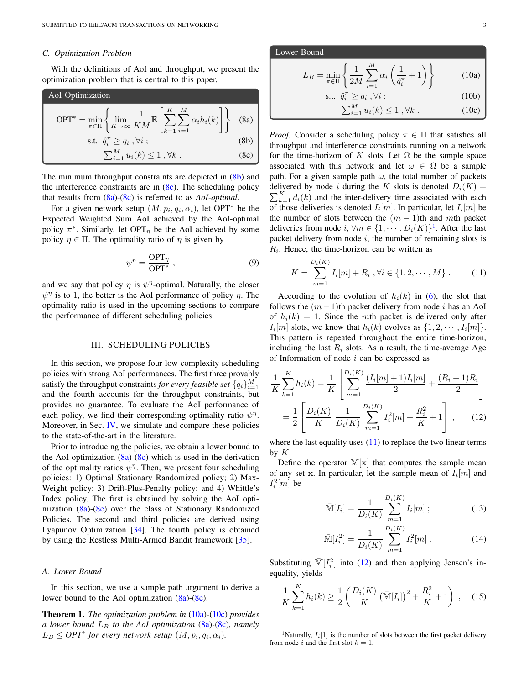#### *C. Optimization Problem*

With the definitions of AoI and throughput, we present the optimization problem that is central to this paper.

AoI Optimization

\n
$$
\text{OPT*} = \min_{\pi \in \Pi} \left\{ \lim_{K \to \infty} \frac{1}{KM} \mathbb{E} \left[ \sum_{k=1}^{K} \sum_{i=1}^{M} \alpha_i h_i(k) \right] \right\} \quad \text{(8a)}
$$
\ns.t.

\n
$$
\hat{q}_i^{\pi} \geq q_i, \forall i ;
$$
\n(8b)

\n
$$
\sum_{i=1}^{M} u_i(k) \leq 1, \forall k .
$$
\n(8c)

The minimum throughput constraints are depicted in (8b) and the interference constraints are in  $(8c)$ . The scheduling policy that results from (8a)-(8c) is referred to as *AoI-optimal*.

For a given network setup  $(M, p_i, q_i, \alpha_i)$ , let OPT<sup>\*</sup> be the Expected Weighted Sum AoI achieved by the AoI-optimal policy  $\pi^*$ . Similarly, let OPT<sub>η</sub> be the AoI achieved by some policy  $\eta \in \Pi$ . The optimality ratio of  $\eta$  is given by

$$
\psi^{\eta} = \frac{\text{OPT}_{\eta}}{\text{OPT}^*} \,,\tag{9}
$$

and we say that policy  $\eta$  is  $\psi^{\eta}$ -optimal. Naturally, the closer  $\psi^{\eta}$  is to 1, the better is the AoI performance of policy  $\eta$ . The optimality ratio is used in the upcoming sections to compare the performance of different scheduling policies.

#### III. SCHEDULING POLICIES

In this section, we propose four low-complexity scheduling policies with strong AoI performances. The first three provably satisfy the throughput constraints *for every feasible set*  $\{q_i\}_{i=1}^M$ and the fourth accounts for the throughput constraints, but provides no guarantee. To evaluate the AoI performance of each policy, we find their corresponding optimality ratio  $\psi^{\eta}$ . Moreover, in Sec. IV, we simulate and compare these policies to the state-of-the-art in the literature.

Prior to introducing the policies, we obtain a lower bound to the AoI optimization  $(8a)-(8c)$  which is used in the derivation of the optimality ratios  $\psi^{\eta}$ . Then, we present four scheduling policies: 1) Optimal Stationary Randomized policy; 2) Max-Weight policy; 3) Drift-Plus-Penalty policy; and 4) Whittle's Index policy. The first is obtained by solving the AoI optimization (8a)-(8c) over the class of Stationary Randomized Policies. The second and third policies are derived using Lyapunov Optimization [34]. The fourth policy is obtained by using the Restless Multi-Armed Bandit framework [35].

# *A. Lower Bound*

In this section, we use a sample path argument to derive a lower bound to the AoI optimization  $(8a)-(8c)$ .

Theorem 1. *The optimization problem in* (10a)*-*(10c) *provides a lower bound*  $L_B$  *to the AoI optimization* (8a)–(8c)*, namely*  $L_B \leq OPT^*$  for every network setup  $(M, p_i, q_i, \alpha_i)$ .

Lower Bound  
\n
$$
L_B = \min_{\pi \in \Pi} \left\{ \frac{1}{2M} \sum_{i=1}^M \alpha_i \left( \frac{1}{\hat{q}_i^{\pi}} + 1 \right) \right\}
$$
\n(10a)  
\ns.t.  $\hat{q}_i^{\pi} \ge q_i, \forall i$ ;  
\n
$$
\sum_{i=1}^M u_i(k) \le 1, \forall k
$$
. (10c)

*Proof.* Consider a scheduling policy  $\pi \in \Pi$  that satisfies all throughput and interference constraints running on a network for the time-horizon of K slots. Let  $\Omega$  be the sample space associated with this network and let  $\omega \in \Omega$  be a sample path. For a given sample path  $\omega$ , the total number of packets  $\sum_{k=1}^{K} d_i(k)$  and the inter-delivery time associated with each delivered by node i during the K slots is denoted  $D_i(K) =$ of those deliveries is denoted  $I_i[m]$ . In particular, let  $I_i[m]$  be the number of slots between the  $(m - 1)$ th and mth packet deliveries from node  $i, \forall m \in \{1, \cdots, D_i(K)\}^1$ . After the last packet delivery from node  $i$ , the number of remaining slots is  $R_i$ . Hence, the time-horizon can be written as

$$
K = \sum_{m=1}^{D_i(K)} I_i[m] + R_i, \forall i \in \{1, 2, \cdots, M\}.
$$
 (11)

According to the evolution of  $h_i(k)$  in (6), the slot that follows the  $(m-1)$ th packet delivery from node i has an AoI of  $h_i(k) = 1$ . Since the mth packet is delivered only after  $I_i[m]$  slots, we know that  $h_i(k)$  evolves as  $\{1, 2, \dots, I_i[m]\}.$ This pattern is repeated throughout the entire time-horizon, including the last  $R_i$  slots. As a result, the time-average Age of Information of node  $i$  can be expressed as

$$
\frac{1}{K} \sum_{k=1}^{K} h_i(k) = \frac{1}{K} \left[ \sum_{m=1}^{D_i(K)} \frac{(I_i[m]+1)I_i[m]}{2} + \frac{(R_i+1)R_i}{2} \right]
$$

$$
= \frac{1}{2} \left[ \frac{D_i(K)}{K} \frac{1}{D_i(K)} \sum_{m=1}^{D_i(K)} I_i^2[m] + \frac{R_i^2}{K} + 1 \right], \qquad (12)
$$

where the last equality uses  $(11)$  to replace the two linear terms by  $K$ .

Define the operator  $M[x]$  that computes the sample mean of any set x. In particular, let the sample mean of  $I_i[m]$  and  $I_i^2[m]$  be

$$
\bar{\mathbb{M}}[I_i] = \frac{1}{D_i(K)} \sum_{m=1}^{D_i(K)} I_i[m] \; ; \tag{13}
$$

$$
\bar{\mathbb{M}}[I_i^2] = \frac{1}{D_i(K)} \sum_{m=1}^{D_i(K)} I_i^2[m] . \tag{14}
$$

Substituting  $\overline{\mathbb{M}}[I_i^2]$  into (12) and then applying Jensen's inequality, yields

$$
\frac{1}{K} \sum_{k=1}^{K} h_i(k) \ge \frac{1}{2} \left( \frac{D_i(K)}{K} \left( \bar{\mathbb{M}}[I_i] \right)^2 + \frac{R_i^2}{K} + 1 \right) , \quad (15)
$$

<sup>1</sup>Naturally,  $I_i[1]$  is the number of slots between the first packet delivery from node i and the first slot  $k = 1$ .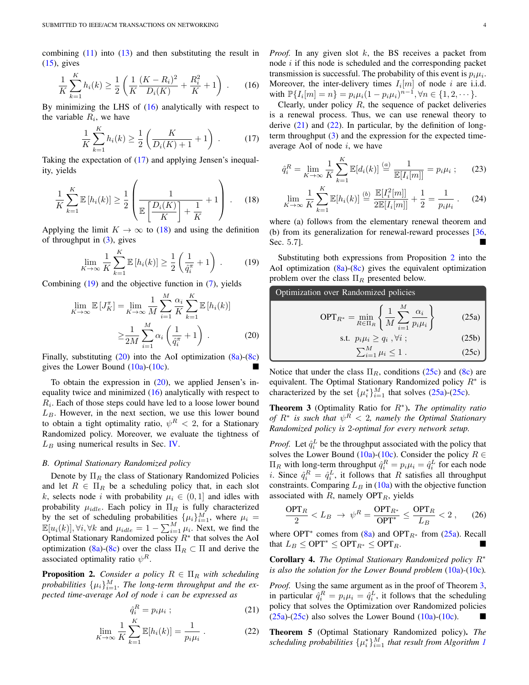combining  $(11)$  into  $(13)$  and then substituting the result in  $(15)$ , gives

$$
\frac{1}{K} \sum_{k=1}^{K} h_i(k) \ge \frac{1}{2} \left( \frac{1}{K} \frac{(K - R_i)^2}{D_i(K)} + \frac{R_i^2}{K} + 1 \right) . \tag{16}
$$

By minimizing the LHS of (16) analytically with respect to the variable  $R_i$ , we have

$$
\frac{1}{K} \sum_{k=1}^{K} h_i(k) \ge \frac{1}{2} \left( \frac{K}{D_i(K) + 1} + 1 \right) . \tag{17}
$$

Taking the expectation of (17) and applying Jensen's inequality, yields

$$
\frac{1}{K} \sum_{k=1}^{K} \mathbb{E}\left[h_i(k)\right] \ge \frac{1}{2} \left(\frac{1}{\mathbb{E}\left[\frac{D_i(K)}{K}\right] + \frac{1}{K}} + 1\right). \tag{18}
$$

Applying the limit  $K \to \infty$  to (18) and using the definition of throughput in  $(3)$ , gives

$$
\lim_{K \to \infty} \frac{1}{K} \sum_{k=1}^{K} \mathbb{E}\left[h_i(k)\right] \ge \frac{1}{2} \left(\frac{1}{\hat{q}_i^{\pi}} + 1\right) \,. \tag{19}
$$

Combining (19) and the objective function in (7), yields

$$
\lim_{K \to \infty} \mathbb{E}\left[J_K^{\pi}\right] = \lim_{K \to \infty} \frac{1}{M} \sum_{i=1}^{M} \frac{\alpha_i}{K} \sum_{k=1}^{K} \mathbb{E}\left[h_i(k)\right]
$$

$$
\geq \frac{1}{2M} \sum_{i=1}^{M} \alpha_i \left(\frac{1}{\hat{q}_i^{\pi}} + 1\right) . \tag{20}
$$

Finally, substituting  $(20)$  into the AoI optimization  $(8a)-(8c)$ gives the Lower Bound  $(10a)-(10c)$ .

To obtain the expression in  $(20)$ , we applied Jensen's inequality twice and minimized (16) analytically with respect to  $R_i$ . Each of those steps could have led to a loose lower bound  $L_B$ . However, in the next section, we use this lower bound to obtain a tight optimality ratio,  $\psi^R < 2$ , for a Stationary Randomized policy. Moreover, we evaluate the tightness of  $L_B$  using numerical results in Sec. IV.

#### *B. Optimal Stationary Randomized policy*

Denote by  $\Pi_R$  the class of Stationary Randomized Policies and let  $R \in \Pi_R$  be a scheduling policy that, in each slot k, selects node i with probability  $\mu_i \in (0,1]$  and idles with probability  $\mu_{idle}$ . Each policy in  $\Pi_R$  is fully characterized by the set of scheduling probabilities  $\{\mu_i\}_{i=1}^M$ , where  $\mu_i =$  $\mathbb{E}[u_i(k)], \forall i, \forall k$  and  $\mu_{idle} = 1 - \sum_{i=1}^{M} \mu_i$ . Next, we find the Optimal Stationary Randomized policy  $R^*$  that solves the AoI optimization (8a)-(8c) over the class  $\Pi_R \subset \Pi$  and derive the associated optimality ratio  $\psi^R$ .

**Proposition 2.** *Consider a policy*  $R \in \Pi_R$  *with scheduling* probabilities  $\{\mu_i\}_{i=1}^M$ . The long-term throughput and the ex*pected time-average AoI of node* i *can be expressed as*

$$
\hat{q}_i^R = p_i \mu_i ; \qquad (21)
$$

$$
\lim_{K \to \infty} \frac{1}{K} \sum_{k=1}^{K} \mathbb{E}[h_i(k)] = \frac{1}{p_i \mu_i} \,. \tag{22}
$$

*Proof.* In any given slot  $k$ , the BS receives a packet from node  $i$  if this node is scheduled and the corresponding packet transmission is successful. The probability of this event is  $p_i \mu_i$ . Moreover, the inter-delivery times  $I_i[m]$  of node i are i.i.d. with  $\mathbb{P}\{I_i[m] = n\} = p_i \mu_i (1 - p_i \mu_i)^{n-1}, \forall n \in \{1, 2, \dots\}.$ 

Clearly, under policy  $R$ , the sequence of packet deliveries is a renewal process. Thus, we can use renewal theory to derive  $(21)$  and  $(22)$ . In particular, by the definition of longterm throughput  $(3)$  and the expression for the expected timeaverage AoI of node  $i$ , we have

$$
\hat{q}_i^R = \lim_{K \to \infty} \frac{1}{K} \sum_{k=1}^K \mathbb{E}[d_i(k)] \stackrel{(a)}{=} \frac{1}{\mathbb{E}[I_i[m]]} = p_i \mu_i ; \qquad (23)
$$

$$
\lim_{K \to \infty} \frac{1}{K} \sum_{k=1}^{K} \mathbb{E}[h_i(k)] \stackrel{(b)}{=} \frac{\mathbb{E}[I_i^2[m]]}{2\mathbb{E}[I_i[m]]} + \frac{1}{2} = \frac{1}{p_i \mu_i} \,. \tag{24}
$$

where (a) follows from the elementary renewal theorem and (b) from its generalization for renewal-reward processes [36, Sec. 5.7].

Substituting both expressions from Proposition 2 into the AoI optimization  $(8a)-(8c)$  gives the equivalent optimization problem over the class  $\Pi_R$  presented below.

Optimization over Randomized policies

$$
\text{OPT}_{R^*} = \min_{R \in \Pi_R} \left\{ \frac{1}{M} \sum_{i=1}^M \frac{\alpha_i}{p_i \mu_i} \right\} \tag{25a}
$$

s.t. 
$$
p_i \mu_i \ge q_i, \forall i
$$
 ; (25b)  

$$
\sum_{i=1}^{M} \mu_i \le 1.
$$
 (25c)

Notice that under the class  $\Pi_R$ , conditions (25c) and (8c) are equivalent. The Optimal Stationary Randomized policy  $R^*$  is characterized by the set  $\{\mu_i^*\}_{i=1}^M$  that solves (25a)-(25c).

Theorem 3 (Optimality Ratio for R<sup>∗</sup> ). *The optimality ratio of*  $R^*$  is such that  $\psi^R < 2$ , namely the Optimal Stationary *Randomized policy is* 2*-optimal for every network setup.*

*Proof.* Let  $\hat{q}_i^L$  be the throughput associated with the policy that solves the Lower Bound (10a)-(10c). Consider the policy  $R \in$  $\Pi_R$  with long-term throughput  $\hat{q}_i^R = p_i \mu_i = \hat{q}_i^L$  for each node *i*. Since  $\hat{q}_i^R = \hat{q}_i^L$ , it follows that R satisfies all throughput constraints. Comparing  $L_B$  in (10a) with the objective function associated with  $R$ , namely OPT<sub>R</sub>, yields

$$
\frac{\text{OPT}_R}{2} < L_B \rightarrow \psi^R = \frac{\text{OPT}_{R^*}}{\text{OPT}^*} \le \frac{\text{OPT}_R}{L_B} < 2 \,, \qquad (26)
$$

where OPT<sup>\*</sup> comes from (8a) and OPT<sub>R<sup>\*</sup></sub> from (25a). Recall that  $L_B \leq \text{OPT}^* \leq \text{OPT}_{R^*} \leq \text{OPT}_R$ .

Corollary 4. *The Optimal Stationary Randomized policy* R<sup>∗</sup> *is also the solution for the Lower Bound problem* (10a)*-*(10c)*.*

*Proof.* Using the same argument as in the proof of Theorem 3, in particular  $\hat{q}_i^R = p_i \mu_i = \hat{q}_i^L$ , it follows that the scheduling policy that solves the Optimization over Randomized policies  $(25a)-(25c)$  also solves the Lower Bound  $(10a)-(10c)$ .

Theorem 5 (Optimal Stationary Randomized policy). *The scheduling probabilities*  $\{\mu_i^*\}_{i=1}^M$  *that result from Algorithm 1*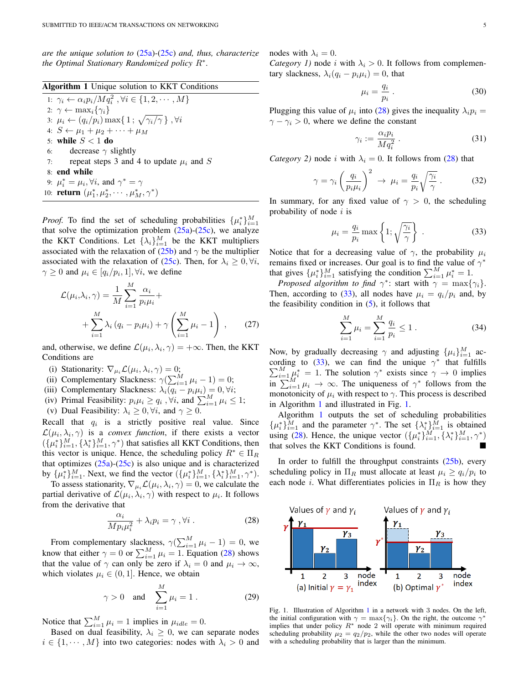*are the unique solution to* (25a)*-*(25c) *and, thus, characterize the Optimal Stationary Randomized policy* R<sup>∗</sup> *.*

Algorithm 1 Unique solution to KKT Conditions

1:  $\gamma_i \leftarrow \alpha_i p_i / M q_i^2, \forall i \in \{1, 2, \cdots, M\}$ 2:  $\gamma \leftarrow \max_i {\gamma_i}$ 3:  $\mu_i \leftarrow (q_i/p_i) \max\{1; \sqrt{\gamma_i/\gamma}\}\; , \forall i$ 4:  $S \leftarrow \mu_1 + \mu_2 + \cdots + \mu_M$ 5: while  $S < 1$  do 6: decrease  $\gamma$  slightly 7: repeat steps 3 and 4 to update  $\mu_i$  and S 8: end while 9:  $\mu_i^* = \mu_i, \forall i$ , and  $\gamma^* = \gamma$ 10: **return**  $(\mu_1^*, \mu_2^*, \cdots, \mu_M^*, \gamma^*)$ 

*Proof.* To find the set of scheduling probabilities  $\{\mu_i^*\}_{i=1}^M$ that solve the optimization problem  $(25a)-(25c)$ , we analyze the KKT Conditions. Let  $\{\lambda_i\}_{i=1}^M$  be the KKT multipliers associated with the relaxation of (25b) and  $\gamma$  be the multiplier associated with the relaxation of (25c). Then, for  $\lambda_i \geq 0, \forall i$ ,  $\gamma \geq 0$  and  $\mu_i \in [q_i/p_i, 1], \forall i$ , we define

$$
\mathcal{L}(\mu_i, \lambda_i, \gamma) = \frac{1}{M} \sum_{i=1}^{M} \frac{\alpha_i}{p_i \mu_i} +
$$
  
+ 
$$
\sum_{i=1}^{M} \lambda_i (q_i - p_i \mu_i) + \gamma \left( \sum_{i=1}^{M} \mu_i - 1 \right) , \qquad (27)
$$

and, otherwise, we define  $\mathcal{L}(\mu_i, \lambda_i, \gamma) = +\infty$ . Then, the KKT Conditions are

- (i) Stationarity:  $\nabla_{\mu_i} \mathcal{L}(\mu_i, \lambda_i, \gamma) = 0;$
- (ii) Complementary Slackness:  $\gamma(\sum_{i=1}^{M} \mu_i 1) = 0;$
- (iii) Complementary Slackness:  $\lambda_i(q_i p_i \mu_i) = 0, \forall i;$
- (iv) Primal Feasibility:  $p_i \mu_i \ge q_i$ ,  $\forall i$ , and  $\sum_{i=1}^{M} \mu_i \le 1$ ;
- (v) Dual Feasibility:  $\lambda_i \geq 0, \forall i$ , and  $\gamma \geq 0$ .

Recall that  $q_i$  is a strictly positive real value. Since  $\mathcal{L}(\mu_i, \lambda_i, \gamma)$  is a *convex function*, if there exists a vector  $(\{\mu_i^*\}_{i=1}^M, \{\lambda_i^*\}_{i=1}^M, \gamma^*)$  that satisfies all KKT Conditions, then this vector is unique. Hence, the scheduling policy  $R^* \in \Pi_R$ that optimizes  $(25a)-(25c)$  is also unique and is characterized by  $\{\mu_i^*\}_{i=1}^M$ . Next, we find the vector  $(\{\mu_i^*\}_{i=1}^M, \{\lambda_i^*\}_{i=1}^M, \gamma^*)$ .

To assess stationarity,  $\nabla_{\mu_i} \mathcal{L}(\mu_i, \lambda_i, \gamma) = 0$ , we calculate the partial derivative of  $\mathcal{L}(\mu_i, \lambda_i, \gamma)$  with respect to  $\mu_i$ . It follows from the derivative that

$$
\frac{\alpha_i}{Mp_i\mu_i^2} + \lambda_i p_i = \gamma , \forall i .
$$
 (28)

From complementary slackness,  $\gamma(\sum_{i=1}^{M} \mu_i - 1) = 0$ , we know that either  $\gamma = 0$  or  $\sum_{i=1}^{M} \mu_i = 1$ . Equation (28) shows that the value of  $\gamma$  can only be zero if  $\lambda_i = 0$  and  $\mu_i \to \infty$ , which violates  $\mu_i \in (0, 1]$ . Hence, we obtain

$$
\gamma > 0 \quad \text{and} \quad \sum_{i=1}^{M} \mu_i = 1 \,. \tag{29}
$$

Notice that  $\sum_{i=1}^{M} \mu_i = 1$  implies in  $\mu_{idle} = 0$ .

Based on dual feasibility,  $\lambda_i \geq 0$ , we can separate nodes  $i \in \{1, \dots, M\}$  into two categories: nodes with  $\lambda_i > 0$  and nodes with  $\lambda_i = 0$ .

*Category 1)* node i with  $\lambda_i > 0$ . It follows from complementary slackness,  $\lambda_i(q_i - p_i \mu_i) = 0$ , that

$$
\mu_i = \frac{q_i}{p_i} \,. \tag{30}
$$

Plugging this value of  $\mu_i$  into (28) gives the inequality  $\lambda_i p_i =$  $\gamma - \gamma_i > 0$ , where we define the constant

$$
\gamma_i := \frac{\alpha_i p_i}{M q_i^2} \,. \tag{31}
$$

*Category 2)* node i with  $\lambda_i = 0$ . It follows from (28) that

$$
\gamma = \gamma_i \left(\frac{q_i}{p_i \mu_i}\right)^2 \rightarrow \mu_i = \frac{q_i}{p_i} \sqrt{\frac{\gamma_i}{\gamma}}.
$$
 (32)

In summary, for any fixed value of  $\gamma > 0$ , the scheduling probability of node  $i$  is

$$
\mu_i = \frac{q_i}{p_i} \max \left\{ 1; \sqrt{\frac{\gamma_i}{\gamma}} \right\} . \tag{33}
$$

Notice that for a decreasing value of  $\gamma$ , the probability  $\mu_i$ remains fixed or increases. Our goal is to find the value of  $\gamma^*$ that gives  $\{\mu_i^*\}_{i=1}^M$  satisfying the condition  $\sum_{i=1}^M \mu_i^* = 1$ .

*Proposed algorithm to find*  $\gamma^*$ : start with  $\gamma = \max{\gamma_i}$ . Then, according to (33), all nodes have  $\mu_i = q_i/p_i$  and, by the feasibility condition in  $(5)$ , it follows that

$$
\sum_{i=1}^{M} \mu_i = \sum_{i=1}^{M} \frac{q_i}{p_i} \le 1.
$$
 (34)

Now, by gradually decreasing  $\gamma$  and adjusting  $\{\mu_i\}_{i=1}^M$  according to (33), we can find the unique  $\gamma^*$  that fulfills  $\sum_{i=1}^{M} \mu_i^* = 1$ . The solution  $\gamma^*$  exists since  $\gamma \to 0$  implies  $\lim_{i=1}^{n}$   $\sum_{i=1}^{M} \mu_i \to \infty$ . The uniqueness of  $\gamma^*$  follows from the monotonicity of  $\mu_i$  with respect to  $\gamma$ . This process is described in Algorithm 1 and illustrated in Fig. 1.

Algorithm 1 outputs the set of scheduling probabilities  $\{\mu_i^*\}_{i=1}^M$  and the parameter  $\gamma^*$ . The set  $\{\lambda_i^*\}_{i=1}^M$  is obtained using (28). Hence, the unique vector  $({\mu_i^*})_{i=1}^{\tilde{M}}, {\lambda_i^*}^M_{i=1}, \gamma^*$ ) that solves the KKT Conditions is found.

In order to fulfill the throughput constraints  $(25b)$ , every scheduling policy in  $\Pi_R$  must allocate at least  $\mu_i \ge q_i/p_i$  to each node *i*. What differentiates policies in  $\Pi_R$  is how they



Fig. 1. Illustration of Algorithm 1 in a network with 3 nodes. On the left, the initial configuration with  $\gamma = \max{\gamma_i}$ . On the right, the outcome  $\gamma^*$ implies that under policy  $R^*$  node 2 will operate with minimum required scheduling probability  $\mu_2 = q_2/p_2$ , while the other two nodes will operate with a scheduling probability that is larger than the minimum.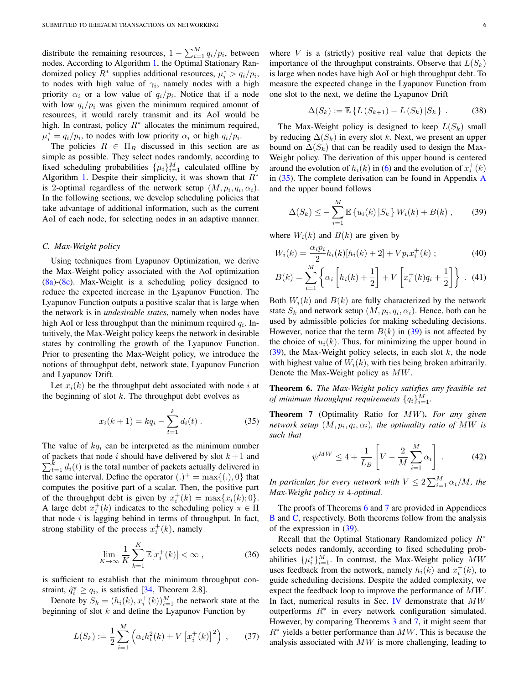distribute the remaining resources,  $1 - \sum_{i=1}^{M} q_i/p_i$ , between nodes. According to Algorithm 1, the Optimal Stationary Randomized policy  $\overline{R^*}$  supplies additional resources,  $\mu_i^* > q_i/p_i$ , to nodes with high value of  $\gamma_i$ , namely nodes with a high priority  $\alpha_i$  or a low value of  $q_i/p_i$ . Notice that if a node with low  $q_i/p_i$  was given the minimum required amount of resources, it would rarely transmit and its AoI would be high. In contrast, policy  $\overline{R}^*$  allocates the minimum required,  $\mu_i^* = q_i/p_i$ , to nodes with low priority  $\alpha_i$  or high  $q_i/p_i$ .

The policies  $R \in \Pi_R$  discussed in this section are as simple as possible. They select nodes randomly, according to fixed scheduling probabilities  $\{\mu_i\}_{i=1}^M$  calculated offline by Algorithm 1. Despite their simplicity, it was shown that  $R^*$ is 2-optimal regardless of the network setup  $(M, p_i, q_i, \alpha_i)$ . In the following sections, we develop scheduling policies that take advantage of additional information, such as the current AoI of each node, for selecting nodes in an adaptive manner.

#### *C. Max-Weight policy*

Using techniques from Lyapunov Optimization, we derive the Max-Weight policy associated with the AoI optimization (8a)-(8c). Max-Weight is a scheduling policy designed to reduce the expected increase in the Lyapunov Function. The Lyapunov Function outputs a positive scalar that is large when the network is in *undesirable states*, namely when nodes have high AoI or less throughput than the minimum required  $q_i$ . Intuitively, the Max-Weight policy keeps the network in desirable states by controlling the growth of the Lyapunov Function. Prior to presenting the Max-Weight policy, we introduce the notions of throughput debt, network state, Lyapunov Function and Lyapunov Drift.

Let  $x_i(k)$  be the throughput debt associated with node i at the beginning of slot  $k$ . The throughput debt evolves as

$$
x_i(k+1) = kq_i - \sum_{t=1}^k d_i(t) . \qquad (35)
$$

The value of  $kq_i$  can be interpreted as the minimum number  $\sum_{t=1}^{k} d_i(t)$  is the total number of packets actually delivered in of packets that node i should have delivered by slot  $k + 1$  and the same interval. Define the operator  $(.)^+ = \max\{(.)$ , 0} that computes the positive part of a scalar. Then, the positive part of the throughput debt is given by  $x_i^+(k) = \max\{x_i(k); 0\}.$ A large debt  $x_i^+(k)$  indicates to the scheduling policy  $\pi \in \Pi$ that node  $i$  is lagging behind in terms of throughput. In fact, strong stability of the process  $x_i^+(k)$ , namely

$$
\lim_{K \to \infty} \frac{1}{K} \sum_{k=1}^{K} \mathbb{E}[x_i^+(k)] < \infty \,, \tag{36}
$$

is sufficient to establish that the minimum throughput constraint,  $\hat{q}_i^{\pi} \ge q_i$ , is satisfied [34, Theorem 2.8].

Denote by  $S_k = (h_i(k), x_i^+(k))_{i=1}^M$  the network state at the beginning of slot  $k$  and define the Lyapunov Function by

$$
L(S_k) := \frac{1}{2} \sum_{i=1}^{M} \left( \alpha_i h_i^2(k) + V \left[ x_i^+(k) \right]^2 \right) , \qquad (37)
$$

where  $V$  is a (strictly) positive real value that depicts the importance of the throughput constraints. Observe that  $L(S_k)$ is large when nodes have high AoI or high throughput debt. To measure the expected change in the Lyapunov Function from one slot to the next, we define the Lyapunov Drift

$$
\Delta(S_k) := \mathbb{E}\left\{L\left(S_{k+1}\right) - L\left(S_k\right)|S_k\right\} \,. \tag{38}
$$

The Max-Weight policy is designed to keep  $L(S_k)$  small by reducing  $\Delta(S_k)$  in every slot k. Next, we present an upper bound on  $\Delta(S_k)$  that can be readily used to design the Max-Weight policy. The derivation of this upper bound is centered around the evolution of  $h_i(k)$  in (6) and the evolution of  $x_i^+(k)$ in (35). The complete derivation can be found in Appendix A and the upper bound follows

$$
\Delta(S_k) \leq -\sum_{i=1}^{M} \mathbb{E} \left\{ u_i(k) \, | S_k \right\} W_i(k) + B(k) \;, \tag{39}
$$

where  $W_i(k)$  and  $B(k)$  are given by

$$
W_i(k) = \frac{\alpha_i p_i}{2} h_i(k) [h_i(k) + 2] + V p_i x_i^+(k) ; \qquad (40)
$$

$$
B(k) = \sum_{i=1}^{M} \left\{ \alpha_i \left[ h_i(k) + \frac{1}{2} \right] + V \left[ x_i^+(k)q_i + \frac{1}{2} \right] \right\} .
$$
 (41)

Both  $W_i(k)$  and  $B(k)$  are fully characterized by the network state  $S_k$  and network setup  $(M, p_i, q_i, \alpha_i)$ . Hence, both can be used by admissible policies for making scheduling decisions. However, notice that the term  $B(k)$  in (39) is not affected by the choice of  $u_i(k)$ . Thus, for minimizing the upper bound in (39), the Max-Weight policy selects, in each slot  $k$ , the node with highest value of  $W_i(k)$ , with ties being broken arbitrarily. Denote the Max-Weight policy as MW.

Theorem 6. *The Max-Weight policy satisfies any feasible set of minimum throughput requirements*  ${q_i}_{i=1}^M$ .

Theorem 7 (Optimality Ratio for MW). *For any given network setup*  $(M, p_i, q_i, \alpha_i)$ *, the optimality ratio of MW is such that*

$$
\psi^{MW} \le 4 + \frac{1}{L_B} \left[ V - \frac{2}{M} \sum_{i=1}^{M} \alpha_i \right] \,. \tag{42}
$$

In particular, for every network with  $V\leq 2\sum_{i=1}^M \alpha_i/M$ , the *Max-Weight policy is* 4*-optimal.*

The proofs of Theorems 6 and 7 are provided in Appendices B and C, respectively. Both theorems follow from the analysis of the expression in (39).

Recall that the Optimal Stationary Randomized policy  $R^*$ selects nodes randomly, according to fixed scheduling probabilities  $\{\mu_i^*\}_{i=1}^M$ . In contrast, the Max-Weight policy  $\overline{MW}$ uses feedback from the network, namely  $h_i(k)$  and  $x_i^+(k)$ , to guide scheduling decisions. Despite the added complexity, we expect the feedback loop to improve the performance of  $MW$ . In fact, numerical results in Sec. IV demonstrate that  $MW$ outperforms  $R^*$  in every network configuration simulated. However, by comparing Theorems 3 and 7, it might seem that  $R^*$  yields a better performance than  $MW$ . This is because the analysis associated with  $MW$  is more challenging, leading to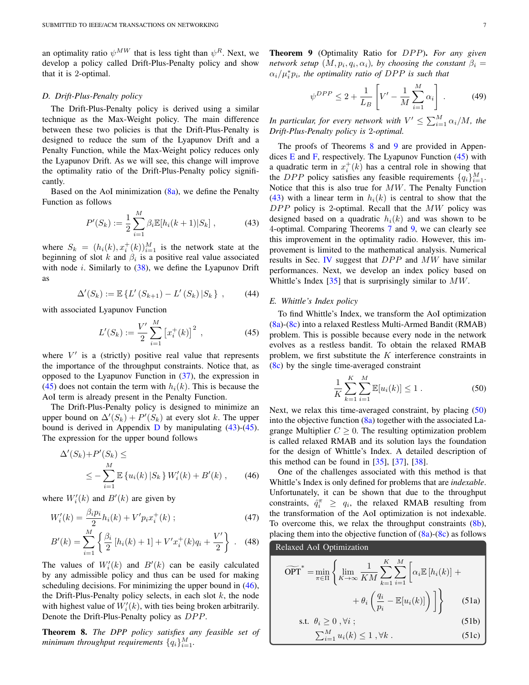an optimality ratio  $\psi^{MW}$  that is less tight than  $\psi^R$ . Next, we develop a policy called Drift-Plus-Penalty policy and show that it is 2-optimal.

#### *D. Drift-Plus-Penalty policy*

The Drift-Plus-Penalty policy is derived using a similar technique as the Max-Weight policy. The main difference between these two policies is that the Drift-Plus-Penalty is designed to reduce the sum of the Lyapunov Drift and a Penalty Function, while the Max-Weight policy reduces only the Lyapunov Drift. As we will see, this change will improve the optimality ratio of the Drift-Plus-Penalty policy significantly.

Based on the AoI minimization  $(8a)$ , we define the Penalty Function as follows

$$
P'(S_k) := \frac{1}{2} \sum_{i=1}^{M} \beta_i \mathbb{E}[h_i(k+1)|S_k], \qquad (43)
$$

where  $S_k = (h_i(k), x_i^+(k))_{i=1}^M$  is the network state at the beginning of slot k and  $\beta_i$  is a positive real value associated with node *i*. Similarly to  $(38)$ , we define the Lyapunov Drift as

$$
\Delta'(S_k) := \mathbb{E}\left\{ L'\left(S_{k+1}\right) - L'\left(S_k\right) | S_k \right\} ,\qquad (44)
$$

with associated Lyapunov Function

$$
L'(S_k) := \frac{V'}{2} \sum_{i=1}^{M} \left[ x_i^+(k) \right]^2 , \qquad (45)
$$

where  $V'$  is a (strictly) positive real value that represents the importance of the throughput constraints. Notice that, as opposed to the Lyapunov Function in (37), the expression in (45) does not contain the term with  $h_i(k)$ . This is because the AoI term is already present in the Penalty Function.

The Drift-Plus-Penalty policy is designed to minimize an upper bound on  $\Delta'(S_k) + P'(S_k)$  at every slot k. The upper bound is derived in Appendix  $D$  by manipulating (43)-(45). The expression for the upper bound follows

$$
\Delta'(S_k) + P'(S_k) \le
$$
  
 
$$
\leq -\sum_{i=1}^M \mathbb{E}\left\{u_i(k) \, | S_k\right\} W'_i(k) + B'(k) \,, \qquad (46)
$$

where  $W_i'(k)$  and  $B'(k)$  are given by

$$
W'_{i}(k) = \frac{\beta_{i} p_{i}}{2} h_{i}(k) + V' p_{i} x_{i}^{+}(k) ;
$$
\n(47)

$$
B'(k) = \sum_{i=1} \left\{ \frac{\beta_i}{2} \left[ h_i(k) + 1 \right] + V' x_i^+(k) q_i + \frac{V'}{2} \right\} . \tag{48}
$$

The values of  $W_i'(k)$  and  $B'(k)$  can be easily calculated by any admissible policy and thus can be used for making scheduling decisions. For minimizing the upper bound in  $(46)$ , the Drift-Plus-Penalty policy selects, in each slot  $k$ , the node with highest value of  $W_i'(k)$ , with ties being broken arbitrarily. Denote the Drift-Plus-Penalty policy as  $DPP$ .

Theorem 8. *The DPP policy satisfies any feasible set of*  $m$ inimum throughput requirements  $\{q_i\}_{i=1}^M$ .

Theorem 9 (Optimality Ratio for DPP). For any given *network setup*  $(M, p_i, q_i, \alpha_i)$ , by choosing the constant  $\beta_i =$  $\alpha_i/\mu_i^* p_i$ , the optimality ratio of DPP is such that

$$
\psi^{DPP} \le 2 + \frac{1}{L_B} \left[ V' - \frac{1}{M} \sum_{i=1}^{M} \alpha_i \right].
$$
\n(49)

In particular, for every network with  $V' \leq \sum_{i=1}^{M} \alpha_i/M$ , the *Drift-Plus-Penalty policy is* 2*-optimal.*

The proofs of Theorems 8 and 9 are provided in Appendices E and F, respectively. The Lyapunov Function  $(45)$  with a quadratic term in  $x_i^+(k)$  has a central role in showing that the DPP policy satisfies any feasible requirements  $\{q_i\}_{i=1}^M$ . Notice that this is also true for MW. The Penalty Function (43) with a linear term in  $h_i(k)$  is central to show that the  $DPP$  policy is 2-optimal. Recall that the  $MW$  policy was designed based on a quadratic  $h_i(k)$  and was shown to be 4-optimal. Comparing Theorems 7 and 9, we can clearly see this improvement in the optimality radio. However, this improvement is limited to the mathematical analysis. Numerical results in Sec. IV suggest that  $DPP$  and  $MW$  have similar performances. Next, we develop an index policy based on Whittle's Index  $[35]$  that is surprisingly similar to  $MW$ .

#### *E. Whittle's Index policy*

To find Whittle's Index, we transform the AoI optimization (8a)-(8c) into a relaxed Restless Multi-Armed Bandit (RMAB) problem. This is possible because every node in the network evolves as a restless bandit. To obtain the relaxed RMAB problem, we first substitute the  $K$  interference constraints in (8c) by the single time-averaged constraint

$$
\frac{1}{K} \sum_{k=1}^{K} \sum_{i=1}^{M} \mathbb{E}[u_i(k)] \le 1.
$$
 (50)

Next, we relax this time-averaged constraint, by placing (50) into the objective function (8a) together with the associated Lagrange Multiplier  $C \geq 0$ . The resulting optimization problem is called relaxed RMAB and its solution lays the foundation for the design of Whittle's Index. A detailed description of this method can be found in  $[35]$ ,  $[37]$ ,  $[38]$ .

One of the challenges associated with this method is that Whittle's Index is only defined for problems that are *indexable*. Unfortunately, it can be shown that due to the throughput constraints,  $\hat{q}_i^{\pi} \ge q_i$ , the relaxed RMAB resulting from the transformation of the AoI optimization is not indexable. To overcome this, we relax the throughput constraints (8b), placing them into the objective function of  $(8a)-(8c)$  as follows

#### Relaxed AoI Optimization

$$
\widetilde{\text{OPT}}^* = \min_{\pi \in \Pi} \left\{ \lim_{K \to \infty} \frac{1}{KM} \sum_{k=1}^K \sum_{i=1}^M \left[ \alpha_i \mathbb{E} \left[ h_i(k) \right] + \right. \\ \left. + \theta_i \left( \frac{q_i}{p_i} - \mathbb{E} [u_i(k)] \right) \right] \right\} \tag{51a}
$$

$$
\text{s.t. } \theta_i \ge 0 \text{, } \forall i \text{ ; } \tag{51b}
$$

$$
\sum_{i=1}^{M} u_i(k) \le 1, \forall k.
$$
 (51c)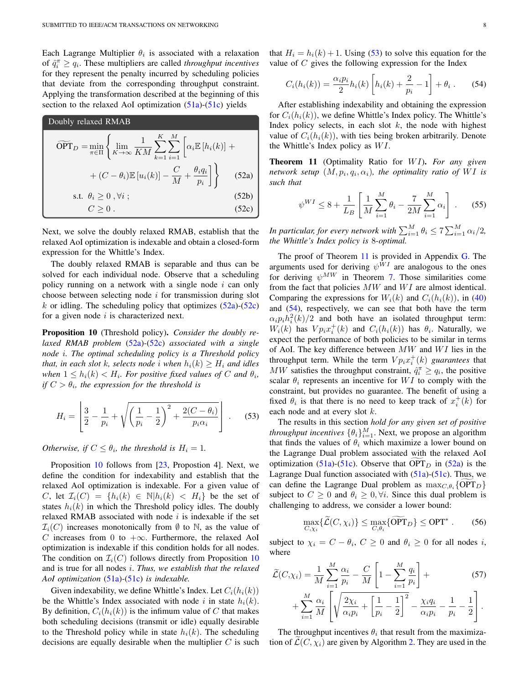Each Lagrange Multiplier  $\theta_i$  is associated with a relaxation of  $\hat{q}_i^{\pi} \ge q_i$ . These multipliers are called *throughput incentives* for they represent the penalty incurred by scheduling policies that deviate from the corresponding throughput constraint. Applying the transformation described at the beginning of this section to the relaxed AoI optimization (51a)-(51c) yields

DoubleDoubly relaxed RMAB

\n
$$
\widetilde{\text{OPT}}_{D} = \min_{\pi \in \Pi} \left\{ \lim_{K \to \infty} \frac{1}{KM} \sum_{k=1}^{K} \sum_{i=1}^{M} \left[ \alpha_{i} \mathbb{E} \left[ h_{i}(k) \right] + \right. \\ \left. + (C - \theta_{i}) \mathbb{E} \left[ u_{i}(k) \right] - \frac{C}{M} + \frac{\theta_{i} q_{i}}{p_{i}} \right] \right\} \tag{52a}
$$
\ns.t.

\n
$$
\theta_{i} \geq 0, \forall i ; \quad \text{(52b)}
$$
\n
$$
C \geq 0 \tag{52c}
$$

Next, we solve the doubly relaxed RMAB, establish that the relaxed AoI optimization is indexable and obtain a closed-form expression for the Whittle's Index.

The doubly relaxed RMAB is separable and thus can be solved for each individual node. Observe that a scheduling policy running on a network with a single node  $i$  can only choose between selecting node  $i$  for transmission during slot k or idling. The scheduling policy that optimizes  $(52a)-(52c)$ for a given node  $i$  is characterized next.

Proposition 10 (Threshold policy). *Consider the doubly relaxed RMAB problem* (52a)*-*(52c) *associated with a single node* i*. The optimal scheduling policy is a Threshold policy that, in each slot* k*, selects node i* when  $h_i(k) > H_i$  *and idles* when  $1 \leq h_i(k) < H_i$ . For positive fixed values of C and  $\theta_i$ , *if*  $C > \theta_i$ , the expression for the threshold is

$$
H_i = \left[ \frac{3}{2} - \frac{1}{p_i} + \sqrt{\left(\frac{1}{p_i} - \frac{1}{2}\right)^2 + \frac{2(C - \theta_i)}{p_i \alpha_i}} \right] . \tag{53}
$$

*Otherwise, if*  $C \leq \theta_i$ *, the threshold is*  $H_i = 1$ *.* 

Proposition 10 follows from [23, Propostion 4]. Next, we define the condition for indexability and establish that the relaxed AoI optimization is indexable. For a given value of C, let  $\mathcal{I}_i(C) = \{h_i(k) \in \mathbb{N} | h_i(k) < H_i\}$  be the set of states  $h_i(k)$  in which the Threshold policy idles. The doubly relaxed RMAB associated with node  $i$  is indexable if the set  $\mathcal{I}_i(C)$  increases monotonically from  $\emptyset$  to N, as the value of C increases from 0 to  $+\infty$ . Furthermore, the relaxed AoI optimization is indexable if this condition holds for all nodes. The condition on  $\mathcal{I}_i(C)$  follows directly from Proposition 10 and is true for all nodes i. *Thus, we establish that the relaxed AoI optimization* (51a)*-*(51c) *is indexable.*

Given indexability, we define Whittle's Index. Let  $C_i(h_i(k))$ be the Whittle's Index associated with node i in state  $h_i(k)$ . By definition,  $C_i(h_i(k))$  is the infimum value of C that makes both scheduling decisions (transmit or idle) equally desirable to the Threshold policy while in state  $h_i(k)$ . The scheduling decisions are equally desirable when the multiplier  $C$  is such that  $H_i = h_i(k) + 1$ . Using (53) to solve this equation for the value of  $C$  gives the following expression for the Index

$$
C_i(h_i(k)) = \frac{\alpha_i p_i}{2} h_i(k) \left[ h_i(k) + \frac{2}{p_i} - 1 \right] + \theta_i \,. \tag{54}
$$

After establishing indexability and obtaining the expression for  $C_i(h_i(k))$ , we define Whittle's Index policy. The Whittle's Index policy selects, in each slot  $k$ , the node with highest value of  $C_i(h_i(k))$ , with ties being broken arbitrarily. Denote the Whittle's Index policy as  $WI$ .

Theorem 11 (Optimality Ratio for WI). For any given *network setup*  $(M, p_i, q_i, \alpha_i)$ *, the optimality ratio of WI is such that*

$$
\psi^{WI} \le 8 + \frac{1}{L_B} \left[ \frac{1}{M} \sum_{i=1}^{M} \theta_i - \frac{7}{2M} \sum_{i=1}^{M} \alpha_i \right] . \tag{55}
$$

In particular, for every network with  $\sum_{i=1}^M \theta_i \le 7 \sum_{i=1}^M \alpha_i/2$ , *the Whittle's Index policy is* 8*-optimal.*

The proof of Theorem 11 is provided in Appendix G. The arguments used for deriving  $\psi^{\hat{W}I}$  are analogous to the ones for deriving  $\psi^{MW}$  in Theorem 7. Those similarities come from the fact that policies  $MW$  and  $WI$  are almost identical. Comparing the expressions for  $W_i(k)$  and  $C_i(h_i(k))$ , in (40) and (54), respectively, we can see that both have the term  $\alpha_i p_i h_i^2(k)/2$  and both have an isolated throughput term:  $W_i(k)$  has  $V p_i x_i^+(k)$  and  $C_i(h_i(k))$  has  $\theta_i$ . Naturally, we expect the performance of both policies to be similar in terms of AoI. The key difference between  $MW$  and  $WI$  lies in the throughput term. While the term  $V p_i x_i^+(k)$  *guarantees* that MW satisfies the throughput constraint,  $\hat{q}_i^{\pi} \ge q_i$ , the positive scalar  $\theta_i$  represents an incentive for WI to comply with the constraint, but provides no guarantee. The benefit of using a fixed  $\theta_i$  is that there is no need to keep track of  $x_i^+(k)$  for each node and at every slot k.

The results in this section *hold for any given set of positive throughput incentives*  $\{\theta_i\}_{i=1}^M$ . Next, we propose an algorithm that finds the values of  $\theta_i$  which maximize a lower bound on the Lagrange Dual problem associated with the relaxed AoI optimization (51a)-(51c). Observe that OPT<sub>D</sub> in (52a) is the Lagrange Dual function associated with (51a)-(51c). Thus, we can define the Lagrange Dual problem as  $\max_{C, \theta_i} \{ \text{OPT}_D \}$ subject to  $C \geq 0$  and  $\theta_i \geq 0, \forall i$ . Since this dual problem is challenging to address, we consider a lower bound:

$$
\max_{C,\chi_i} \{\widetilde{\mathcal{L}}(C,\chi_i)\} \le \max_{C,\theta_i} \{\widetilde{\text{OPT}}_D\} \le \text{OPT}^* \,. \tag{56}
$$

subject to  $\chi_i = C - \theta_i$ ,  $C \ge 0$  and  $\theta_i \ge 0$  for all nodes i, where

$$
\widetilde{\mathcal{L}}(C,\chi_i) = \frac{1}{M} \sum_{i=1}^{M} \frac{\alpha_i}{p_i} - \frac{C}{M} \left[ 1 - \sum_{i=1}^{M} \frac{q_i}{p_i} \right] +
$$
\n
$$
+ \sum_{i=1}^{M} \frac{\alpha_i}{M} \left[ \sqrt{\frac{2\chi_i}{\alpha_i p_i} + \left[ \frac{1}{p_i} - \frac{1}{2} \right]^2} - \frac{\chi_i q_i}{\alpha_i p_i} - \frac{1}{p_i} - \frac{1}{2} \right].
$$
\n(57)

The throughput incentives  $\theta_i$  that result from the maximization of  $\mathcal{L}(C, \chi_i)$  are given by Algorithm 2. They are used in the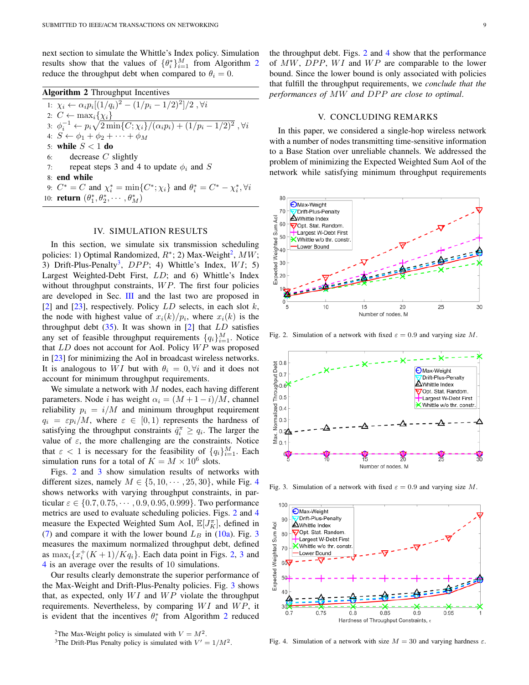next section to simulate the Whittle's Index policy. Simulation results show that the values of  $\{\theta_i^*\}_{i=1}^M$  from Algorithm 2 reduce the throughput debt when compared to  $\theta_i = 0$ .

| <b>Algorithm 2</b> Throughput Incentives |                                                                                                           |  |
|------------------------------------------|-----------------------------------------------------------------------------------------------------------|--|
|                                          | 1: $\chi_i \leftarrow \alpha_i p_i [(1/q_i)^2 - (1/p_i - 1/2)^2]/2$ , $\forall i$                         |  |
|                                          | 2: $C \leftarrow \max_i \{ \chi_i \}$                                                                     |  |
|                                          | 3: $\phi_i^{-1} \leftarrow p_i \sqrt{2 \min\{C; \chi_i\}/(\alpha_i p_i) + (1/p_i - 1/2)^2}$ , $\forall i$ |  |
|                                          | 4: $S \leftarrow \phi_1 + \phi_2 + \cdots + \phi_M$                                                       |  |
|                                          | 5: while $S < 1$ do                                                                                       |  |
|                                          | 6: decrease $C$ slightly                                                                                  |  |
| 7:                                       | repeat steps 3 and 4 to update $\phi_i$ and S                                                             |  |
|                                          | 8: end while                                                                                              |  |
|                                          | 9: $C^* = C$ and $\chi_i^* = \min\{C^*; \chi_i\}$ and $\theta_i^* = C^* - \chi_i^*, \forall i$            |  |
|                                          | 10: <b>return</b> $(\theta_1^*, \theta_2^*, \cdots, \theta_M^*)$                                          |  |

#### IV. SIMULATION RESULTS

In this section, we simulate six transmission scheduling policies: 1) Optimal Randomized,  $R^*$ ; 2) Max-Weight<sup>2</sup>,  $MW$ ; 3) Drift-Plus-Penalty<sup>3</sup>,  $DPP$ ; 4) Whittle's Index,  $WI$ ; 5) Largest Weighted-Debt First, LD; and 6) Whittle's Index without throughput constraints,  $WP$ . The first four policies are developed in Sec. III and the last two are proposed in [2] and [23], respectively. Policy  $LD$  selects, in each slot k, the node with highest value of  $x_i(k)/p_i$ , where  $x_i(k)$  is the throughput debt  $(35)$ . It was shown in [2] that  $LD$  satisfies any set of feasible throughput requirements  $\{q_i\}_{i=1}^M$ . Notice that  $LD$  does not account for AoI. Policy  $WP$  was proposed in [23] for minimizing the AoI in broadcast wireless networks. It is analogous to WI but with  $\theta_i = 0, \forall i$  and it does not account for minimum throughput requirements.

We simulate a network with  $M$  nodes, each having different parameters. Node *i* has weight  $\alpha_i = (M + 1 - i)/M$ , channel reliability  $p_i = i/M$  and minimum throughput requirement  $q_i = \varepsilon p_i/M$ , where  $\varepsilon \in [0,1)$  represents the hardness of satisfying the throughput constraints  $\hat{q}_i^{\pi} \ge q_i$ . The larger the value of  $\varepsilon$ , the more challenging are the constraints. Notice that  $\varepsilon < 1$  is necessary for the feasibility of  $\{q_i\}_{i=1}^M$ . Each simulation runs for a total of  $K = M \times 10^6$  slots.

Figs. 2 and 3 show simulation results of networks with different sizes, namely  $M \in \{5, 10, \dots, 25, 30\}$ , while Fig. 4 shows networks with varying throughput constraints, in particular  $\varepsilon \in \{0.7, 0.75, \cdots, 0.9, 0.95, 0.999\}$ . Two performance metrics are used to evaluate scheduling policies. Figs. 2 and 4 measure the Expected Weighted Sum AoI,  $\mathbb{E}[J_K^{\pi}]$ , defined in (7) and compare it with the lower bound  $L_B$  in (10a). Fig. 3 measures the maximum normalized throughput debt, defined as  $\max_i \{x_i^+(K+1)/Kq_i\}$ . Each data point in Figs. 2, 3 and 4 is an average over the results of 10 simulations.

Our results clearly demonstrate the superior performance of the Max-Weight and Drift-Plus-Penalty policies. Fig. 3 shows that, as expected, only  $WI$  and  $WP$  violate the throughput requirements. Nevertheless, by comparing  $WI$  and  $WP$ , it is evident that the incentives  $\theta_i^*$  from Algorithm 2 reduced the throughput debt. Figs. 2 and 4 show that the performance of  $MW$ ,  $DPP$ ,  $WI$  and  $WP$  are comparable to the lower bound. Since the lower bound is only associated with policies

#### V. CONCLUDING REMARKS

that fulfill the throughput requirements, we *conclude that the performances of MW and DPP are close to optimal.* 

In this paper, we considered a single-hop wireless network with a number of nodes transmitting time-sensitive information to a Base Station over unreliable channels. We addressed the problem of minimizing the Expected Weighted Sum AoI of the network while satisfying minimum throughput requirements



Fig. 2. Simulation of a network with fixed  $\varepsilon = 0.9$  and varying size M.



Fig. 3. Simulation of a network with fixed  $\varepsilon = 0.9$  and varying size M.



Fig. 4. Simulation of a network with size  $M = 30$  and varying hardness  $\varepsilon$ .

<sup>&</sup>lt;sup>2</sup>The Max-Weight policy is simulated with  $V = M^2$ .

<sup>&</sup>lt;sup>3</sup>The Drift-Plus Penalty policy is simulated with  $V' = 1/M^2$ .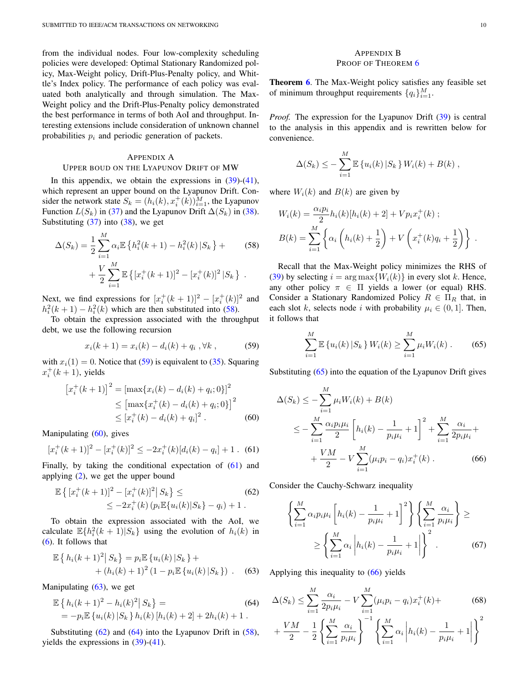from the individual nodes. Four low-complexity scheduling policies were developed: Optimal Stationary Randomized policy, Max-Weight policy, Drift-Plus-Penalty policy, and Whittle's Index policy. The performance of each policy was evaluated both analytically and through simulation. The Max-Weight policy and the Drift-Plus-Penalty policy demonstrated the best performance in terms of both AoI and throughput. Interesting extensions include consideration of unknown channel probabilities  $p_i$  and periodic generation of packets.

#### APPENDIX A

#### UPPER BOUD ON THE LYAPUNOV DRIFT OF MW

In this appendix, we obtain the expressions in  $(39)-(41)$ , which represent an upper bound on the Lyapunov Drift. Consider the network state  $S_k = (h_i(k), x_i^+(k))_{i=1}^M$ , the Lyapunov Function  $L(S_k)$  in (37) and the Lyapunov Drift  $\Delta(S_k)$  in (38). Substituting  $(37)$  into  $(38)$ , we get

$$
\Delta(S_k) = \frac{1}{2} \sum_{i=1}^{M} \alpha_i \mathbb{E} \left\{ h_i^2(k+1) - h_i^2(k) \, | S_k \right\} +
$$
\n
$$
+ \frac{V}{2} \sum_{i=1}^{M} \mathbb{E} \left\{ [x_i^+(k+1)]^2 - [x_i^+(k)]^2 \, | S_k \right\} \, .
$$
\n(58)

Next, we find expressions for  $[x_i^+(k+1)]^2 - [x_i^+(k)]^2$  and  $h_i^2(k+1) - h_i^2(k)$  which are then substituted into (58).

To obtain the expression associated with the throughput debt, we use the following recursion

$$
x_i(k+1) = x_i(k) - d_i(k) + q_i, \forall k,
$$
 (59)

with  $x_i(1) = 0$ . Notice that (59) is equivalent to (35). Squaring  $x_i^+(k+1)$ , yields

$$
[x_i^+(k+1)]^2 = [\max\{x_i(k) - d_i(k) + q_i; 0\}]^2
$$
  
\n
$$
\leq [\max\{x_i^+(k) - d_i(k) + q_i; 0\}]^2
$$
  
\n
$$
\leq [x_i^+(k) - d_i(k) + q_i]^2.
$$
 (60)

Manipulating  $(60)$ , gives

$$
[x_i^+(k+1)]^2 - [x_i^+(k)]^2 \le -2x_i^+(k)[d_i(k) - q_i] + 1.
$$
 (61)

Finally, by taking the conditional expectation of (61) and applying (2), we get the upper bound

$$
\mathbb{E}\left\{ [x_i^+(k+1)]^2 - [x_i^+(k)]^2 \, | \, S_k \right\} \leq
$$
\n
$$
\leq -2x_i^+(k) \left( p_i \mathbb{E}\{u_i(k)|S_k\} - q_i \right) + 1 \, .
$$
\n(62)

To obtain the expression associated with the AoI, we calculate  $\mathbb{E}\lbrace h_i^2(k+1)|S_k\rbrace$  using the evolution of  $h_i(k)$  in (6). It follows that

$$
\mathbb{E}\left\{h_i(k+1)^2\big|S_k\right\} = p_i \mathbb{E}\left\{u_i(k)\big|S_k\right\} + (h_i(k)+1)^2\left(1-p_i \mathbb{E}\left\{u_i(k)\big|S_k\right\}\right). \tag{63}
$$

Manipulating (63), we get

$$
\mathbb{E}\left\{h_i(k+1)^2 - h_i(k)^2|S_k\right\} =
$$
\n
$$
= -p_i \mathbb{E}\left\{u_i(k)|S_k\right\}h_i(k)[h_i(k) + 2] + 2h_i(k) + 1.
$$
\n(64)

Substituting  $(62)$  and  $(64)$  into the Lyapunov Drift in  $(58)$ , yields the expressions in  $(39)-(41)$ .

#### APPENDIX B PROOF OF THEOREM 6

Theorem 6. The Max-Weight policy satisfies any feasible set of minimum throughput requirements  $\{q_i\}_{i=1}^M$ .

*Proof.* The expression for the Lyapunov Drift (39) is central to the analysis in this appendix and is rewritten below for convenience.

$$
\Delta(S_k) \leq -\sum_{i=1}^M \mathbb{E} \left\{ u_i(k) \, | S_k \right\} W_i(k) + B(k) \;,
$$

where  $W_i(k)$  and  $B(k)$  are given by

$$
W_i(k) = \frac{\alpha_i p_i}{2} h_i(k) [h_i(k) + 2] + V p_i x_i^+(k) ;
$$
  

$$
B(k) = \sum_{i=1}^M \left\{ \alpha_i \left( h_i(k) + \frac{1}{2} \right) + V \left( x_i^+(k) q_i + \frac{1}{2} \right) \right\} .
$$

Recall that the Max-Weight policy minimizes the RHS of (39) by selecting  $i = \arg \max \{W_i(k)\}\$ in every slot k. Hence, any other policy  $\pi \in \Pi$  yields a lower (or equal) RHS. Consider a Stationary Randomized Policy  $R \in \Pi_R$  that, in each slot k, selects node i with probability  $\mu_i \in (0, 1]$ . Then, it follows that

$$
\sum_{i=1}^{M} \mathbb{E} \left\{ u_i(k) \, | S_k \right\} W_i(k) \ge \sum_{i=1}^{M} \mu_i W_i(k) \,. \tag{65}
$$

Substituting (65) into the equation of the Lyapunov Drift gives

$$
\Delta(S_k) \le -\sum_{i=1}^M \mu_i W_i(k) + B(k)
$$
  
\n
$$
\le -\sum_{i=1}^M \frac{\alpha_i p_i \mu_i}{2} \left[ h_i(k) - \frac{1}{p_i \mu_i} + 1 \right]^2 + \sum_{i=1}^M \frac{\alpha_i}{2p_i \mu_i} + \frac{VM}{2} - V \sum_{i=1}^M (\mu_i p_i - q_i) x_i^+(k) .
$$
 (66)

Consider the Cauchy-Schwarz inequality

$$
\left\{\sum_{i=1}^{M} \alpha_i p_i \mu_i \left[h_i(k) - \frac{1}{p_i \mu_i} + 1\right]^2\right\} \left\{\sum_{i=1}^{M} \frac{\alpha_i}{p_i \mu_i}\right\} \ge
$$

$$
\ge \left\{\sum_{i=1}^{M} \alpha_i \left|h_i(k) - \frac{1}{p_i \mu_i} + 1\right|\right\}^2. \tag{67}
$$

Applying this inequality to  $(66)$  yields

$$
\Delta(S_k) \le \sum_{i=1}^M \frac{\alpha_i}{2p_i \mu_i} - V \sum_{i=1}^M (\mu_i p_i - q_i) x_i^+(k) +
$$
\n
$$
+ \frac{VM}{2} - \frac{1}{2} \left\{ \sum_{i=1}^M \frac{\alpha_i}{p_i \mu_i} \right\}^{-1} \left\{ \sum_{i=1}^M \alpha_i \left| h_i(k) - \frac{1}{p_i \mu_i} + 1 \right| \right\}^2
$$
\n(68)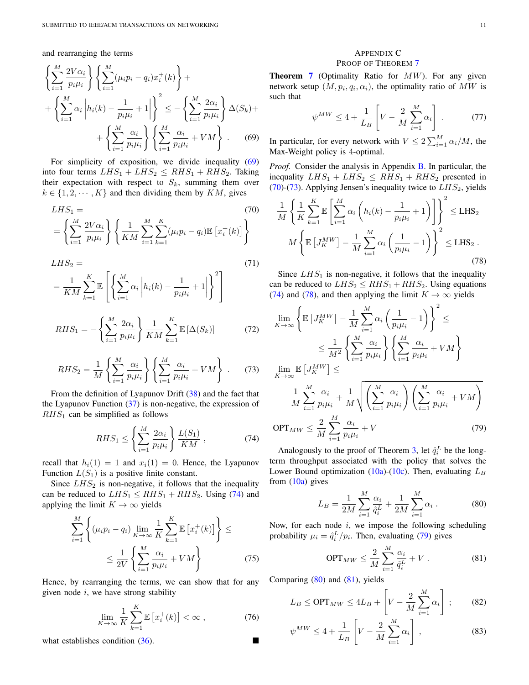and rearranging the terms

$$
\left\{\sum_{i=1}^{M} \frac{2V\alpha_i}{p_i\mu_i}\right\} \left\{\sum_{i=1}^{M} (\mu_i p_i - q_i) x_i^+(k)\right\} + \left\{\sum_{i=1}^{M} \alpha_i \left|h_i(k) - \frac{1}{p_i\mu_i} + 1\right|\right\}^2 \leq -\left\{\sum_{i=1}^{M} \frac{2\alpha_i}{p_i\mu_i}\right\} \Delta(S_k) + \left\{\sum_{i=1}^{M} \frac{\alpha_i}{p_i\mu_i}\right\} \left\{\sum_{i=1}^{M} \frac{\alpha_i}{p_i\mu_i} + VM\right\}.
$$
 (69)

For simplicity of exposition, we divide inequality (69) into four terms  $LHS_1 + LHS_2 \le RHS_1 + RHS_2$ . Taking their expectation with respect to  $S_k$ , summing them over  $k \in \{1, 2, \dots, K\}$  and then dividing them by  $KM$ , gives

$$
LHS_1 = (70)
$$
  
=  $\left\{ \sum_{i=1}^{M} \frac{2V\alpha_i}{p_i \mu_i} \right\} \left\{ \frac{1}{KM} \sum_{i=1}^{M} \sum_{k=1}^{K} (\mu_i p_i - q_i) \mathbb{E} \left[ x_i^+(k) \right] \right\}$  (70)

$$
LHS_2 = \frac{1}{KM} \sum_{k=1}^{K} \mathbb{E} \left[ \left\{ \sum_{i=1}^{M} \alpha_i \left| h_i(k) - \frac{1}{p_i \mu_i} + 1 \right| \right\}^2 \right]
$$
(71)

$$
RHS_1 = -\left\{\sum_{i=1}^{M} \frac{2\alpha_i}{p_i \mu_i}\right\} \frac{1}{KM} \sum_{k=1}^{K} \mathbb{E}\left[\Delta(S_k)\right]
$$
 (72)

$$
RHS_2 = \frac{1}{M} \left\{ \sum_{i=1}^{M} \frac{\alpha_i}{p_i \mu_i} \right\} \left\{ \sum_{i=1}^{M} \frac{\alpha_i}{p_i \mu_i} + VM \right\} . \tag{73}
$$

From the definition of Lyapunov Drift (38) and the fact that the Lyapunov Function  $(37)$  is non-negative, the expression of  $RHS<sub>1</sub>$  can be simplified as follows

$$
RHS_1 \le \left\{ \sum_{i=1}^{M} \frac{2\alpha_i}{p_i \mu_i} \right\} \frac{L(S_1)}{KM} , \qquad (74)
$$

recall that  $h_i(1) = 1$  and  $x_i(1) = 0$ . Hence, the Lyapunov Function  $L(S_1)$  is a positive finite constant.

Since  $LHS_2$  is non-negative, it follows that the inequality can be reduced to  $LHS_1 \leq RHS_1 + RHS_2$ . Using (74) and applying the limit  $K \to \infty$  yields

$$
\sum_{i=1}^{M} \left\{ (\mu_i p_i - q_i) \lim_{K \to \infty} \frac{1}{K} \sum_{k=1}^{K} \mathbb{E} \left[ x_i^+(k) \right] \right\} \le
$$
  

$$
\leq \frac{1}{2V} \left\{ \sum_{i=1}^{M} \frac{\alpha_i}{p_i \mu_i} + VM \right\}
$$
(75)

Hence, by rearranging the terms, we can show that for any given node  $i$ , we have strong stability

$$
\lim_{K \to \infty} \frac{1}{K} \sum_{k=1}^{K} \mathbb{E}\left[x_i^+(k)\right] < \infty \,, \tag{76}
$$

what establishes condition  $(36)$ .

# APPENDIX C PROOF OF THEOREM 7

**Theorem 7** (Optimality Ratio for  $MW$ ). For any given network setup  $(M, p_i, q_i, \alpha_i)$ , the optimality ratio of  $MW$  is such that

$$
\psi^{MW} \le 4 + \frac{1}{L_B} \left[ V - \frac{2}{M} \sum_{i=1}^{M} \alpha_i \right]. \tag{77}
$$

In particular, for every network with  $V \le 2 \sum_{i=1}^{M} \alpha_i/M$ , the Max-Weight policy is 4-optimal.

*Proof.* Consider the analysis in Appendix B. In particular, the inequality  $LHS_1 + LHS_2 \leq RHS_1 + RHS_2$  presented in (70)-(73). Applying Jensen's inequality twice to  $LHS_2$ , yields

$$
\frac{1}{M} \left\{ \frac{1}{K} \sum_{k=1}^{K} \mathbb{E} \left[ \sum_{i=1}^{M} \alpha_i \left( h_i(k) - \frac{1}{p_i \mu_i} + 1 \right) \right] \right\}^2 \le \text{LHS}_2
$$
\n
$$
M \left\{ \mathbb{E} \left[ J_K^{MW} \right] - \frac{1}{M} \sum_{i=1}^{M} \alpha_i \left( \frac{1}{p_i \mu_i} - 1 \right) \right\}^2 \le \text{LHS}_2 .
$$
\n(78)

Since  $LHS_1$  is non-negative, it follows that the inequality can be reduced to  $LHS_2 \leq RHS_1 + RHS_2$ . Using equations (74) and (78), and then applying the limit  $K \to \infty$  yields

$$
\lim_{K \to \infty} \left\{ \mathbb{E} \left[ J_K^{MW} \right] - \frac{1}{M} \sum_{i=1}^M \alpha_i \left( \frac{1}{p_i \mu_i} - 1 \right) \right\}^2 \le
$$
\n
$$
\leq \frac{1}{M^2} \left\{ \sum_{i=1}^M \frac{\alpha_i}{p_i \mu_i} \right\} \left\{ \sum_{i=1}^M \frac{\alpha_i}{p_i \mu_i} + VM \right\}
$$
\n
$$
\lim_{K \to \infty} \mathbb{E} \left[ J_K^{MW} \right] \leq
$$
\n
$$
\frac{1}{M} \sum_{i=1}^M \frac{\alpha_i}{p_i \mu_i} + \frac{1}{M} \sqrt{\left( \sum_{i=1}^M \frac{\alpha_i}{p_i \mu_i} \right) \left( \sum_{i=1}^M \frac{\alpha_i}{p_i \mu_i} + VM \right)}
$$
\n
$$
\text{OPT}_{MW} \leq \frac{2}{M} \sum_{i=1}^M \frac{\alpha_i}{p_i \mu_i} + V \tag{79}
$$

Analogously to the proof of Theorem 3, let  $\hat{q}_i^L$  be the longterm throughput associated with the policy that solves the Lower Bound optimization (10a)-(10c). Then, evaluating  $L_B$ from  $(10a)$  gives

$$
L_B = \frac{1}{2M} \sum_{i=1}^{M} \frac{\alpha_i}{\hat{q}_i^L} + \frac{1}{2M} \sum_{i=1}^{M} \alpha_i.
$$
 (80)

Now, for each node  $i$ , we impose the following scheduling probability  $\mu_i = \hat{q}_i^L/p_i$ . Then, evaluating (79) gives

$$
\text{OPT}_{MW} \leq \frac{2}{M} \sum_{i=1}^{M} \frac{\alpha_i}{\hat{q}_i^L} + V \,. \tag{81}
$$

Comparing (80) and (81), yields

$$
L_B \le \text{OPT}_{MW} \le 4L_B + \left[ V - \frac{2}{M} \sum_{i=1}^{M} \alpha_i \right] ; \quad (82)
$$

$$
\psi^{MW} \le 4 + \frac{1}{L_B} \left[ V - \frac{2}{M} \sum_{i=1}^{M} \alpha_i \right], \tag{83}
$$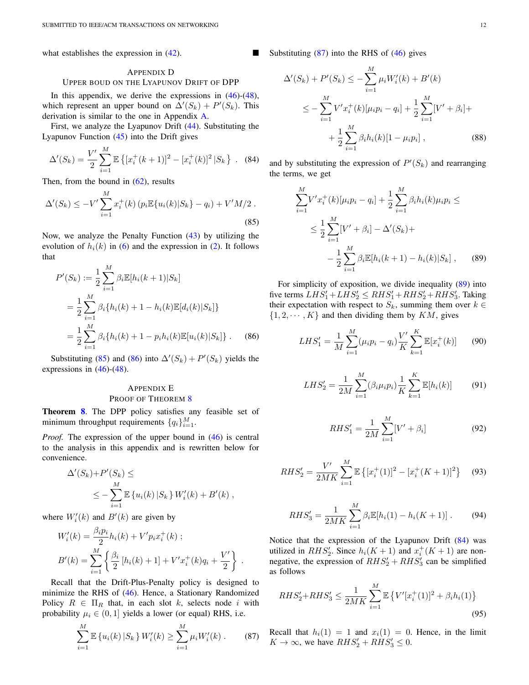what establishes the expression in  $(42)$ .

#### APPENDIX D

# UPPER BOUD ON THE LYAPUNOV DRIFT OF DPP

In this appendix, we derive the expressions in  $(46)$ - $(48)$ , which represent an upper bound on  $\Delta'(S_k) + P'(S_k)$ . This derivation is similar to the one in Appendix A.

First, we analyze the Lyapunov Drift (44). Substituting the Lyapunov Function (45) into the Drift gives

$$
\Delta'(S_k) = \frac{V'}{2} \sum_{i=1}^{M} \mathbb{E} \left\{ [x_i^+(k+1)]^2 - [x_i^+(k)]^2 | S_k \right\} .
$$
 (84)

Then, from the bound in  $(62)$ , results

$$
\Delta'(S_k) \le -V' \sum_{i=1}^{M} x_i^+(k) \left( p_i \mathbb{E}\{u_i(k)|S_k\} - q_i \right) + V'M/2 \tag{85}
$$

Now, we analyze the Penalty Function (43) by utilizing the evolution of  $h_i(k)$  in (6) and the expression in (2). It follows that

$$
P'(S_k) := \frac{1}{2} \sum_{i=1}^{M} \beta_i \mathbb{E}[h_i(k+1)|S_k]
$$
  
= 
$$
\frac{1}{2} \sum_{i=1}^{M} \beta_i \{h_i(k) + 1 - h_i(k)\mathbb{E}[d_i(k)|S_k]\}
$$
  
= 
$$
\frac{1}{2} \sum_{i=1}^{M} \beta_i \{h_i(k) + 1 - p_i h_i(k)\mathbb{E}[u_i(k)|S_k]\}.
$$
 (86)

Substituting (85) and (86) into  $\Delta'(S_k) + P'(S_k)$  yields the expressions in  $(46)-(48)$ .

# APPENDIX E PROOF OF THEOREM 8

Theorem 8. The DPP policy satisfies any feasible set of minimum throughput requirements  $\{q_i\}_{i=1}^M$ .

*Proof.* The expression of the upper bound in  $(46)$  is central to the analysis in this appendix and is rewritten below for convenience.

$$
\Delta'(S_k) + P'(S_k) \le
$$
  

$$
\leq -\sum_{i=1}^M \mathbb{E}\left\{u_i(k) \, | S_k\right\} W'_i(k) + B'(k) ,
$$

where  $W_i'(k)$  and  $B'(k)$  are given by

$$
W'_{i}(k) = \frac{\beta_{i} p_{i}}{2} h_{i}(k) + V' p_{i} x_{i}^{+}(k) ;
$$
  
\n
$$
B'(k) = \sum_{i=1}^{M} \left\{ \frac{\beta_{i}}{2} \left[ h_{i}(k) + 1 \right] + V' x_{i}^{+}(k) q_{i} + \frac{V'}{2} \right\} .
$$

Recall that the Drift-Plus-Penalty policy is designed to minimize the RHS of (46). Hence, a Stationary Randomized Policy  $R \in \Pi_R$  that, in each slot k, selects node i with probability  $\mu_i \in (0, 1]$  yields a lower (or equal) RHS, i.e.

$$
\sum_{i=1}^{M} \mathbb{E} \left\{ u_i(k) \, | S_k \right\} W'_i(k) \ge \sum_{i=1}^{M} \mu_i W'_i(k) \,. \tag{87}
$$

Substituting  $(87)$  into the RHS of  $(46)$  gives

$$
\Delta'(S_k) + P'(S_k) \le -\sum_{i=1}^M \mu_i W'_i(k) + B'(k)
$$
  

$$
\le -\sum_{i=1}^M V' x_i^+(k) [\mu_i p_i - q_i] + \frac{1}{2} \sum_{i=1}^M [V' + \beta_i] +
$$
  

$$
+ \frac{1}{2} \sum_{i=1}^M \beta_i h_i(k) [1 - \mu_i p_i], \qquad (88)
$$

and by substituting the expression of  $P'(S_k)$  and rearranging the terms, we get

$$
\sum_{i=1}^{M} V' x_i^+(k) [\mu_i p_i - q_i] + \frac{1}{2} \sum_{i=1}^{M} \beta_i h_i(k) \mu_i p_i \le
$$
  

$$
\leq \frac{1}{2} \sum_{i=1}^{M} [V' + \beta_i] - \Delta'(S_k) +
$$
  

$$
- \frac{1}{2} \sum_{i=1}^{M} \beta_i \mathbb{E}[h_i(k+1) - h_i(k)|S_k], \qquad (89)
$$

For simplicity of exposition, we divide inequality (89) into five terms  $LHS'_1 + LHS'_2 \le RHS'_1 + RHS'_2 + RHS'_3$ . Taking their expectation with respect to  $S_k$ , summing them over  $k \in$  $\{1, 2, \dots, K\}$  and then dividing them by  $KM$ , gives

$$
LHS_1' = \frac{1}{M} \sum_{i=1}^{M} (\mu_i p_i - q_i) \frac{V'}{K} \sum_{k=1}^{K} \mathbb{E}[x_i^+(k)] \qquad (90)
$$

$$
LHS_2' = \frac{1}{2M} \sum_{i=1}^{M} (\beta_i \mu_i p_i) \frac{1}{K} \sum_{k=1}^{K} \mathbb{E}[h_i(k)] \tag{91}
$$

$$
RHS_1' = \frac{1}{2M} \sum_{i=1}^{M} [V' + \beta_i]
$$
 (92)

$$
RHS_2' = \frac{V'}{2MK} \sum_{i=1}^{M} \mathbb{E}\left\{ [x_i^+(1)]^2 - [x_i^+(K+1)]^2 \right\} \tag{93}
$$

$$
RHS_3' = \frac{1}{2MK} \sum_{i=1}^{M} \beta_i \mathbb{E}[h_i(1) - h_i(K+1)]. \tag{94}
$$

Notice that the expression of the Lyapunov Drift (84) was utilized in  $RHS'_2$ . Since  $h_i(K + 1)$  and  $x_i^+(K + 1)$  are nonnegative, the expression of  $RHS'_2 + RHS'_3$  can be simplified as follows

$$
RHS_2' + RHS_3' \le \frac{1}{2MK} \sum_{i=1}^{M} \mathbb{E} \left\{ V'[x_i^+(1)]^2 + \beta_i h_i(1) \right\}
$$
\n(95)

Recall that  $h_i(1) = 1$  and  $x_i(1) = 0$ . Hence, in the limit  $K \to \infty$ , we have  $RHS'_2 + RHS'_3 \leq 0$ .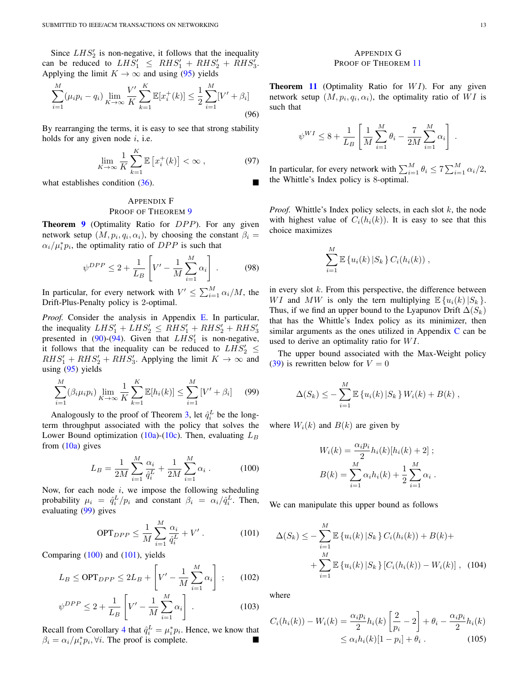Since  $LHS_2'$  is non-negative, it follows that the inequality can be reduced to  $LHS'_1 \leq RHS'_1 + RHS'_2 + RHS'_3$ . Applying the limit  $K \to \infty$  and using (95) yields

$$
\sum_{i=1}^{M} (\mu_i p_i - q_i) \lim_{K \to \infty} \frac{V'}{K} \sum_{k=1}^{K} \mathbb{E}[x_i^+(k)] \le \frac{1}{2} \sum_{i=1}^{M} [V' + \beta_i]
$$
\n(96)

By rearranging the terms, it is easy to see that strong stability holds for any given node  $i$ , i.e.

$$
\lim_{K \to \infty} \frac{1}{K} \sum_{k=1}^{K} \mathbb{E}\left[x_i^+(k)\right] < \infty \,, \tag{97}
$$

what establishes condition (36).

# APPENDIX F PROOF OF THEOREM 9

**Theorem 9** (Optimality Ratio for  $DPP$ ). For any given network setup  $(M, p_i, q_i, \alpha_i)$ , by choosing the constant  $\beta_i =$  $\alpha_i/\mu_i^* p_i$ , the optimality ratio of DPP is such that

$$
\psi^{DPP} \le 2 + \frac{1}{L_B} \left[ V' - \frac{1}{M} \sum_{i=1}^{M} \alpha_i \right].
$$
\n(98)

In particular, for every network with  $V' \leq \sum_{i=1}^{M} \alpha_i/M$ , the Drift-Plus-Penalty policy is 2-optimal.

*Proof.* Consider the analysis in Appendix E. In particular, the inequality  $LHS'_1 + LHS'_2 \leq RHS'_1 + RHS'_2 + RHS'_3$ presented in (90)-(94). Given that  $LHS'_1$  is non-negative, it follows that the inequality can be reduced to  $LHS'_2 \leq$  $RHS'_1 + RHS'_2 + RHS'_3$ . Applying the limit  $K \to \infty$  and using  $(95)$  yields

$$
\sum_{i=1}^{M} (\beta_i \mu_i p_i) \lim_{K \to \infty} \frac{1}{K} \sum_{k=1}^{K} \mathbb{E}[h_i(k)] \le \sum_{i=1}^{M} [V' + \beta_i]
$$
 (99)

Analogously to the proof of Theorem 3, let  $\hat{q}_i^L$  be the longterm throughput associated with the policy that solves the Lower Bound optimization (10a)-(10c). Then, evaluating  $L_B$ from  $(10a)$  gives

$$
L_B = \frac{1}{2M} \sum_{i=1}^{M} \frac{\alpha_i}{\hat{q}_i^L} + \frac{1}{2M} \sum_{i=1}^{M} \alpha_i .
$$
 (100)

Now, for each node  $i$ , we impose the following scheduling probability  $\mu_i = \hat{q}_i^L/p_i$  and constant  $\beta_i = \alpha_i/\hat{q}_i^L$ . Then, evaluating (99) gives

$$
\text{OPT}_{DPP} \le \frac{1}{M} \sum_{i=1}^{M} \frac{\alpha_i}{\hat{q}_i^L} + V' \,. \tag{101}
$$

Comparing (100) and (101), yields

$$
L_B \le \text{OPT}_{DPP} \le 2L_B + \left[V' - \frac{1}{M} \sum_{i=1}^{M} \alpha_i\right] ;\qquad(102)
$$

$$
\psi^{DPP} \le 2 + \frac{1}{L_B} \left[ V' - \frac{1}{M} \sum_{i=1}^{M} \alpha_i \right] . \tag{103}
$$

Recall from Corollary 4 that  $\hat{q}_i^L = \mu_i^* p_i$ . Hence, we know that  $\beta_i = \alpha_i / \mu_i^* p_i$ ,  $\forall i$ . The proof is complete.

# APPENDIX G PROOF OF THEOREM 11

**Theorem 11** (Optimality Ratio for  $WI$ ). For any given network setup  $(M, p_i, q_i, \alpha_i)$ , the optimality ratio of WI is such that

$$
\psi^{WI} \le 8 + \frac{1}{L_B} \left[ \frac{1}{M} \sum_{i=1}^{M} \theta_i - \frac{7}{2M} \sum_{i=1}^{M} \alpha_i \right].
$$

In particular, for every network with  $\sum_{i=1}^{M} \theta_i \le 7 \sum_{i=1}^{M} \alpha_i/2$ , the Whittle's Index policy is 8-optimal.

*Proof.* Whittle's Index policy selects, in each slot  $k$ , the node with highest value of  $C_i(h_i(k))$ . It is easy to see that this choice maximizes

$$
\sum_{i=1}^{M} \mathbb{E} \left\{ u_i(k) \, | S_k \right\} C_i(h_i(k)) \, ,
$$

in every slot  $k$ . From this perspective, the difference between WI and MW is only the tern multiplying  $\mathbb{E}\left\{u_i(k)|S_k\right\}$ . Thus, if we find an upper bound to the Lyapunov Drift  $\Delta(S_k)$ that has the Whittle's Index policy as its minimizer, then similar arguments as the ones utilized in Appendix  $C$  can be used to derive an optimality ratio for  $WI$ .

The upper bound associated with the Max-Weight policy (39) is rewritten below for  $V = 0$ 

$$
\Delta(S_k) \leq -\sum_{i=1}^M \mathbb{E} \left\{ u_i(k) \, | S_k \right\} W_i(k) + B(k) \;,
$$

where  $W_i(k)$  and  $B(k)$  are given by

$$
W_i(k) = \frac{\alpha_i p_i}{2} h_i(k) [h_i(k) + 2];
$$
  

$$
B(k) = \sum_{i=1}^{M} \alpha_i h_i(k) + \frac{1}{2} \sum_{i=1}^{M} \alpha_i.
$$

We can manipulate this upper bound as follows

$$
\Delta(S_k) \leq -\sum_{i=1}^{M} \mathbb{E} \left\{ u_i(k) \, | S_k \right\} C_i(h_i(k)) + B(k) + \sum_{i=1}^{M} \mathbb{E} \left\{ u_i(k) \, | S_k \right\} \left[ C_i(h_i(k)) - W_i(k) \right], \tag{104}
$$

where

$$
C_i(h_i(k)) - W_i(k) = \frac{\alpha_i p_i}{2} h_i(k) \left[ \frac{2}{p_i} - 2 \right] + \theta_i - \frac{\alpha_i p_i}{2} h_i(k)
$$
  

$$
\leq \alpha_i h_i(k) [1 - p_i] + \theta_i .
$$
 (105)